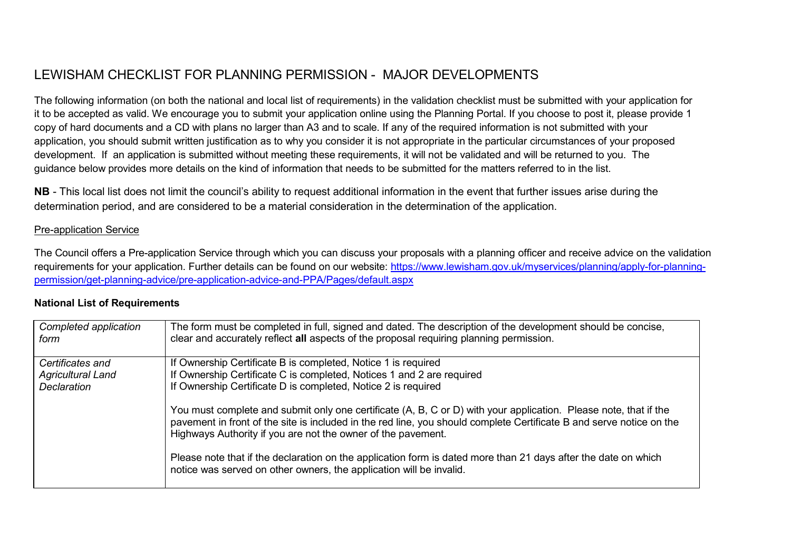## LEWISHAM CHECKLIST FOR PLANNING PERMISSION - MAJOR DEVELOPMENTS

The following information (on both the national and local list of requirements) in the validation checklist must be submitted with your application for it to be accepted as valid. We encourage you to submit your application online using the Planning Portal. If you choose to post it, please provide 1 copy of hard documents and a CD with plans no larger than A3 and to scale. If any of the required information is not submitted with your application, you should submit written justification as to why you consider it is not appropriate in the particular circumstances of your proposed development. If an application is submitted without meeting these requirements, it will not be validated and will be returned to you. The guidance below provides more details on the kind of information that needs to be submitted for the matters referred to in the list.

**NB** - This local list does not limit the council's ability to request additional information in the event that further issues arise during the determination period, and are considered to be a material consideration in the determination of the application.

## Pre-application Service

The Council offers a Pre-application Service through which you can discuss your proposals with a planning officer and receive advice on the validation requirements for your application. Further details can be found on our website: https:/[/www.lewisham.gov.uk/myservices/planning/apply-for-planning](http://www.lewisham.gov.uk/myservices/planning/apply-for-planning-)permission/get-planning-advice/pre-application-advice-and-PPA/Pages/default.aspx

| Completed application<br>form | The form must be completed in full, signed and dated. The description of the development should be concise,<br>clear and accurately reflect all aspects of the proposal requiring planning permission.                                                                                                   |
|-------------------------------|----------------------------------------------------------------------------------------------------------------------------------------------------------------------------------------------------------------------------------------------------------------------------------------------------------|
| Certificates and              | If Ownership Certificate B is completed, Notice 1 is required                                                                                                                                                                                                                                            |
| <b>Agricultural Land</b>      | If Ownership Certificate C is completed, Notices 1 and 2 are required                                                                                                                                                                                                                                    |
| Declaration                   | If Ownership Certificate D is completed, Notice 2 is required                                                                                                                                                                                                                                            |
|                               | You must complete and submit only one certificate (A, B, C or D) with your application. Please note, that if the<br>pavement in front of the site is included in the red line, you should complete Certificate B and serve notice on the<br>Highways Authority if you are not the owner of the pavement. |
|                               | Please note that if the declaration on the application form is dated more than 21 days after the date on which<br>notice was served on other owners, the application will be invalid.                                                                                                                    |

## **National List of Requirements**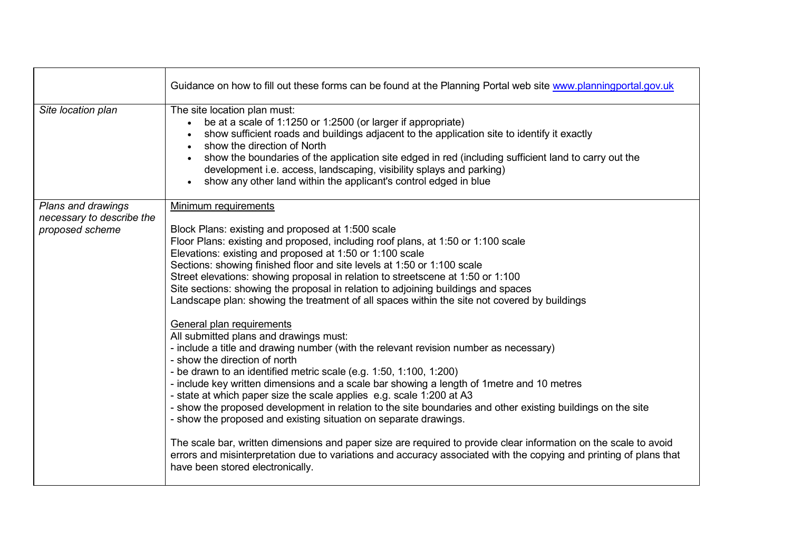|                                              | Guidance on how to fill out these forms can be found at the Planning Portal web site www.planningportal.gov.uk                                                                                                                                                                                                                                                                                                                                                                                                                                                                                                                                                                                                                                                                                                                       |
|----------------------------------------------|--------------------------------------------------------------------------------------------------------------------------------------------------------------------------------------------------------------------------------------------------------------------------------------------------------------------------------------------------------------------------------------------------------------------------------------------------------------------------------------------------------------------------------------------------------------------------------------------------------------------------------------------------------------------------------------------------------------------------------------------------------------------------------------------------------------------------------------|
| Site location plan                           | The site location plan must:<br>be at a scale of 1:1250 or 1:2500 (or larger if appropriate)<br>show sufficient roads and buildings adjacent to the application site to identify it exactly<br>show the direction of North<br>$\bullet$<br>show the boundaries of the application site edged in red (including sufficient land to carry out the<br>development i.e. access, landscaping, visibility splays and parking)<br>show any other land within the applicant's control edged in blue                                                                                                                                                                                                                                                                                                                                          |
| Plans and drawings                           | Minimum requirements                                                                                                                                                                                                                                                                                                                                                                                                                                                                                                                                                                                                                                                                                                                                                                                                                 |
| necessary to describe the<br>proposed scheme | Block Plans: existing and proposed at 1:500 scale<br>Floor Plans: existing and proposed, including roof plans, at 1:50 or 1:100 scale<br>Elevations: existing and proposed at 1:50 or 1:100 scale<br>Sections: showing finished floor and site levels at 1:50 or 1:100 scale<br>Street elevations: showing proposal in relation to streetscene at 1:50 or 1:100<br>Site sections: showing the proposal in relation to adjoining buildings and spaces<br>Landscape plan: showing the treatment of all spaces within the site not covered by buildings<br>General plan requirements<br>All submitted plans and drawings must:<br>- include a title and drawing number (with the relevant revision number as necessary)<br>- show the direction of north<br>- be drawn to an identified metric scale (e.g. $1:50$ , $1:100$ , $1:200$ ) |
|                                              | - include key written dimensions and a scale bar showing a length of 1 metre and 10 metres<br>- state at which paper size the scale applies e.g. scale 1:200 at A3<br>- show the proposed development in relation to the site boundaries and other existing buildings on the site<br>- show the proposed and existing situation on separate drawings.<br>The scale bar, written dimensions and paper size are required to provide clear information on the scale to avoid<br>errors and misinterpretation due to variations and accuracy associated with the copying and printing of plans that<br>have been stored electronically.                                                                                                                                                                                                  |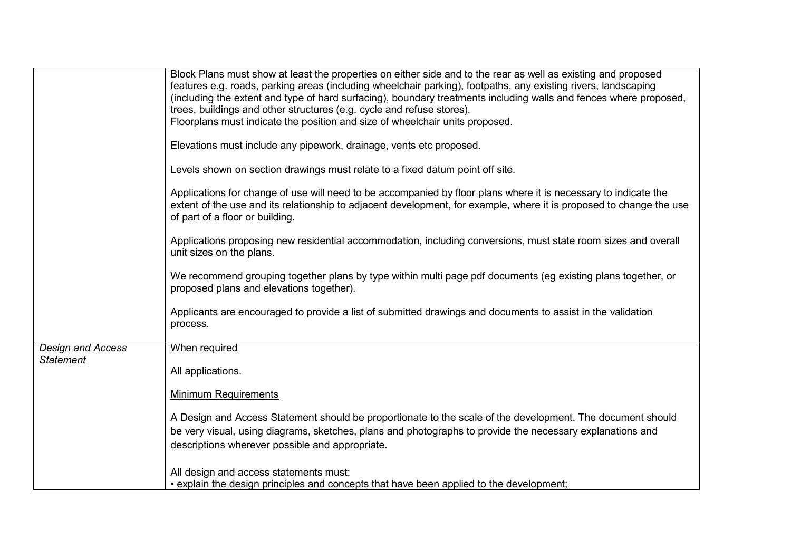|                          | Block Plans must show at least the properties on either side and to the rear as well as existing and proposed<br>features e.g. roads, parking areas (including wheelchair parking), footpaths, any existing rivers, landscaping<br>(including the extent and type of hard surfacing), boundary treatments including walls and fences where proposed, |
|--------------------------|------------------------------------------------------------------------------------------------------------------------------------------------------------------------------------------------------------------------------------------------------------------------------------------------------------------------------------------------------|
|                          | trees, buildings and other structures (e.g. cycle and refuse stores).                                                                                                                                                                                                                                                                                |
|                          | Floorplans must indicate the position and size of wheelchair units proposed.                                                                                                                                                                                                                                                                         |
|                          |                                                                                                                                                                                                                                                                                                                                                      |
|                          | Elevations must include any pipework, drainage, vents etc proposed.                                                                                                                                                                                                                                                                                  |
|                          | Levels shown on section drawings must relate to a fixed datum point off site.                                                                                                                                                                                                                                                                        |
|                          | Applications for change of use will need to be accompanied by floor plans where it is necessary to indicate the<br>extent of the use and its relationship to adjacent development, for example, where it is proposed to change the use<br>of part of a floor or building.                                                                            |
|                          | Applications proposing new residential accommodation, including conversions, must state room sizes and overall<br>unit sizes on the plans.                                                                                                                                                                                                           |
|                          | We recommend grouping together plans by type within multi page pdf documents (eg existing plans together, or<br>proposed plans and elevations together).                                                                                                                                                                                             |
|                          | Applicants are encouraged to provide a list of submitted drawings and documents to assist in the validation<br>process.                                                                                                                                                                                                                              |
| <b>Design and Access</b> | When required                                                                                                                                                                                                                                                                                                                                        |
| <b>Statement</b>         |                                                                                                                                                                                                                                                                                                                                                      |
|                          | All applications.                                                                                                                                                                                                                                                                                                                                    |
|                          |                                                                                                                                                                                                                                                                                                                                                      |
|                          | <b>Minimum Requirements</b>                                                                                                                                                                                                                                                                                                                          |
|                          |                                                                                                                                                                                                                                                                                                                                                      |
|                          | A Design and Access Statement should be proportionate to the scale of the development. The document should                                                                                                                                                                                                                                           |
|                          | be very visual, using diagrams, sketches, plans and photographs to provide the necessary explanations and                                                                                                                                                                                                                                            |
|                          | descriptions wherever possible and appropriate.                                                                                                                                                                                                                                                                                                      |
|                          |                                                                                                                                                                                                                                                                                                                                                      |
|                          | All design and access statements must:                                                                                                                                                                                                                                                                                                               |
|                          | • explain the design principles and concepts that have been applied to the development;                                                                                                                                                                                                                                                              |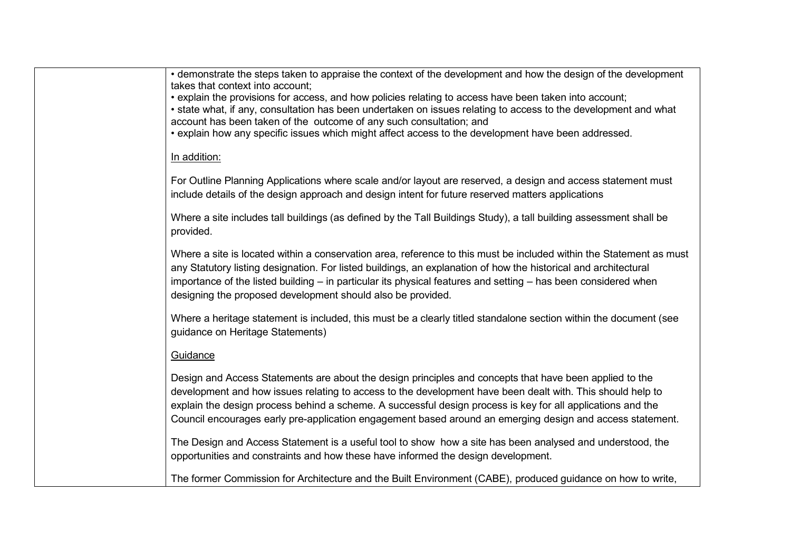| • demonstrate the steps taken to appraise the context of the development and how the design of the development<br>takes that context into account;<br>• explain the provisions for access, and how policies relating to access have been taken into account;<br>• state what, if any, consultation has been undertaken on issues relating to access to the development and what<br>account has been taken of the outcome of any such consultation; and<br>• explain how any specific issues which might affect access to the development have been addressed. |
|---------------------------------------------------------------------------------------------------------------------------------------------------------------------------------------------------------------------------------------------------------------------------------------------------------------------------------------------------------------------------------------------------------------------------------------------------------------------------------------------------------------------------------------------------------------|
| In addition:                                                                                                                                                                                                                                                                                                                                                                                                                                                                                                                                                  |
| For Outline Planning Applications where scale and/or layout are reserved, a design and access statement must<br>include details of the design approach and design intent for future reserved matters applications                                                                                                                                                                                                                                                                                                                                             |
| Where a site includes tall buildings (as defined by the Tall Buildings Study), a tall building assessment shall be<br>provided.                                                                                                                                                                                                                                                                                                                                                                                                                               |
| Where a site is located within a conservation area, reference to this must be included within the Statement as must<br>any Statutory listing designation. For listed buildings, an explanation of how the historical and architectural<br>importance of the listed building – in particular its physical features and setting – has been considered when<br>designing the proposed development should also be provided.                                                                                                                                       |
| Where a heritage statement is included, this must be a clearly titled standalone section within the document (see<br>guidance on Heritage Statements)                                                                                                                                                                                                                                                                                                                                                                                                         |
| Guidance                                                                                                                                                                                                                                                                                                                                                                                                                                                                                                                                                      |
| Design and Access Statements are about the design principles and concepts that have been applied to the<br>development and how issues relating to access to the development have been dealt with. This should help to<br>explain the design process behind a scheme. A successful design process is key for all applications and the<br>Council encourages early pre-application engagement based around an emerging design and access statement.                                                                                                             |
| The Design and Access Statement is a useful tool to show how a site has been analysed and understood, the<br>opportunities and constraints and how these have informed the design development.                                                                                                                                                                                                                                                                                                                                                                |
| The former Commission for Architecture and the Built Environment (CABE), produced guidance on how to write,                                                                                                                                                                                                                                                                                                                                                                                                                                                   |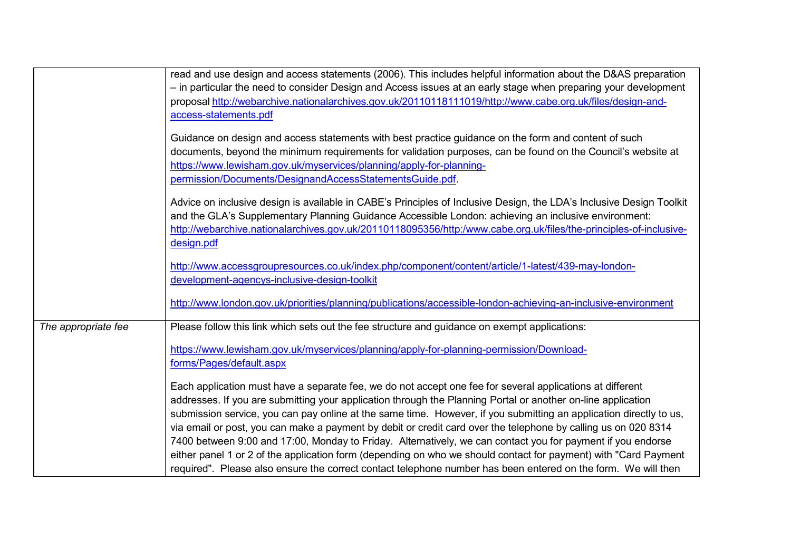|                     | read and use design and access statements (2006). This includes helpful information about the D&AS preparation                                                                                                                                                                                                                                          |
|---------------------|---------------------------------------------------------------------------------------------------------------------------------------------------------------------------------------------------------------------------------------------------------------------------------------------------------------------------------------------------------|
|                     | - in particular the need to consider Design and Access issues at an early stage when preparing your development                                                                                                                                                                                                                                         |
|                     | proposal http://webarchive.nationalarchives.gov.uk/20110118111019/http://www.cabe.org.uk/files/design-and-                                                                                                                                                                                                                                              |
|                     | access-statements.pdf                                                                                                                                                                                                                                                                                                                                   |
|                     | Guidance on design and access statements with best practice guidance on the form and content of such<br>documents, beyond the minimum requirements for validation purposes, can be found on the Council's website at<br>https://www.lewisham.gov.uk/myservices/planning/apply-for-planning-<br>permission/Documents/DesignandAccessStatementsGuide.pdf. |
|                     | Advice on inclusive design is available in CABE's Principles of Inclusive Design, the LDA's Inclusive Design Toolkit<br>and the GLA's Supplementary Planning Guidance Accessible London: achieving an inclusive environment:<br>http://webarchive.nationalarchives.gov.uk/20110118095356/http:/www.cabe.org.uk/files/the-principles-of-inclusive-       |
|                     | design.pdf                                                                                                                                                                                                                                                                                                                                              |
|                     | http://www.accessgroupresources.co.uk/index.php/component/content/article/1-latest/439-may-london-                                                                                                                                                                                                                                                      |
|                     | development-agencys-inclusive-design-toolkit                                                                                                                                                                                                                                                                                                            |
|                     | http://www.london.gov.uk/priorities/planning/publications/accessible-london-achieving-an-inclusive-environment                                                                                                                                                                                                                                          |
| The appropriate fee | Please follow this link which sets out the fee structure and guidance on exempt applications:                                                                                                                                                                                                                                                           |
|                     | https://www.lewisham.gov.uk/myservices/planning/apply-for-planning-permission/Download-                                                                                                                                                                                                                                                                 |
|                     | forms/Pages/default.aspx                                                                                                                                                                                                                                                                                                                                |
|                     | Each application must have a separate fee, we do not accept one fee for several applications at different                                                                                                                                                                                                                                               |
|                     | addresses. If you are submitting your application through the Planning Portal or another on-line application<br>submission service, you can pay online at the same time. However, if you submitting an application directly to us,                                                                                                                      |
|                     | via email or post, you can make a payment by debit or credit card over the telephone by calling us on 020 8314                                                                                                                                                                                                                                          |
|                     | 7400 between 9:00 and 17:00, Monday to Friday. Alternatively, we can contact you for payment if you endorse<br>either panel 1 or 2 of the application form (depending on who we should contact for payment) with "Card Payment<br>required". Please also ensure the correct contact telephone number has been entered on the form. We will then         |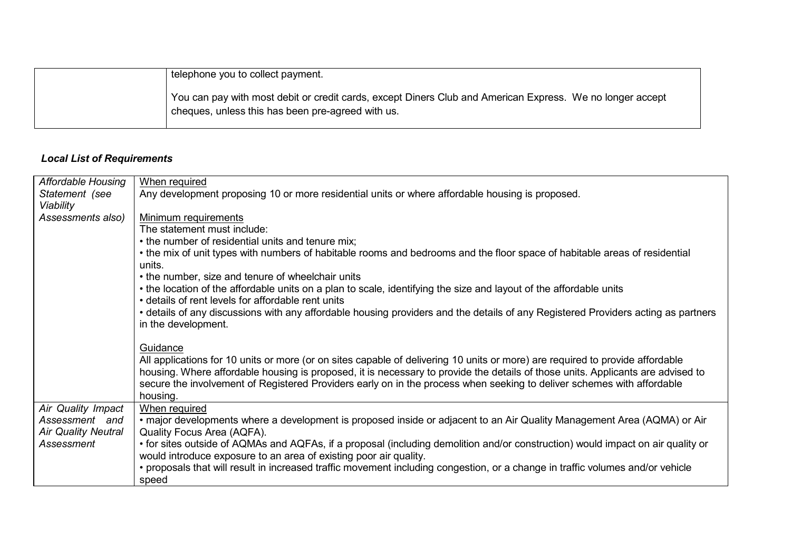| telephone you to collect payment.                                                                                                                              |
|----------------------------------------------------------------------------------------------------------------------------------------------------------------|
| You can pay with most debit or credit cards, except Diners Club and American Express. We no longer accept<br>cheques, unless this has been pre-agreed with us. |

# *Local List of Requirements*

| <b>Affordable Housing</b>  | When required                                                                                                                     |
|----------------------------|-----------------------------------------------------------------------------------------------------------------------------------|
| Statement (see             | Any development proposing 10 or more residential units or where affordable housing is proposed.                                   |
| Viability                  |                                                                                                                                   |
| Assessments also)          | Minimum requirements                                                                                                              |
|                            | The statement must include:                                                                                                       |
|                            | • the number of residential units and tenure mix;                                                                                 |
|                            | • the mix of unit types with numbers of habitable rooms and bedrooms and the floor space of habitable areas of residential        |
|                            | units.                                                                                                                            |
|                            | • the number, size and tenure of wheelchair units                                                                                 |
|                            | • the location of the affordable units on a plan to scale, identifying the size and layout of the affordable units                |
|                            | • details of rent levels for affordable rent units                                                                                |
|                            | • details of any discussions with any affordable housing providers and the details of any Registered Providers acting as partners |
|                            | in the development.                                                                                                               |
|                            |                                                                                                                                   |
|                            | Guidance                                                                                                                          |
|                            | All applications for 10 units or more (or on sites capable of delivering 10 units or more) are required to provide affordable     |
|                            | housing. Where affordable housing is proposed, it is necessary to provide the details of those units. Applicants are advised to   |
|                            | secure the involvement of Registered Providers early on in the process when seeking to deliver schemes with affordable            |
|                            | housing.                                                                                                                          |
| Air Quality Impact         | When required                                                                                                                     |
| Assessment and             | • major developments where a development is proposed inside or adjacent to an Air Quality Management Area (AQMA) or Air           |
| <b>Air Quality Neutral</b> | Quality Focus Area (AQFA).                                                                                                        |
| Assessment                 | • for sites outside of AQMAs and AQFAs, if a proposal (including demolition and/or construction) would impact on air quality or   |
|                            | would introduce exposure to an area of existing poor air quality.                                                                 |
|                            | • proposals that will result in increased traffic movement including congestion, or a change in traffic volumes and/or vehicle    |
|                            | speed                                                                                                                             |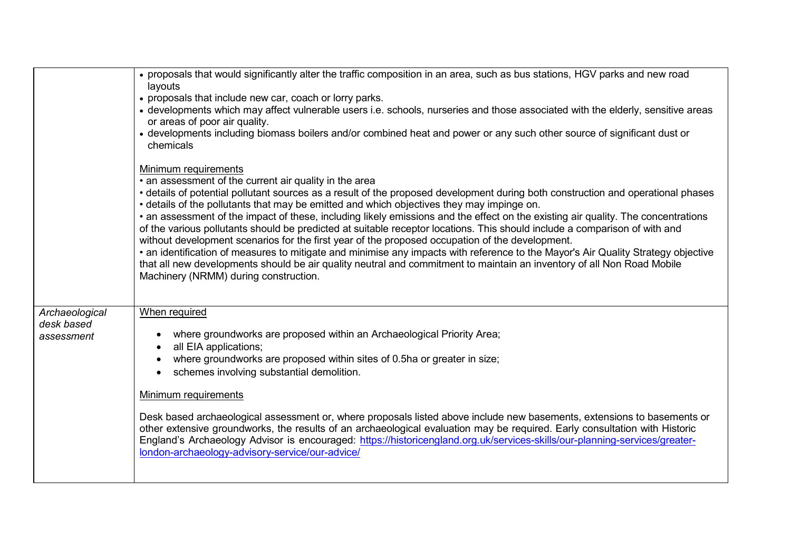|                                            | • proposals that would significantly alter the traffic composition in an area, such as bus stations, HGV parks and new road<br>layouts<br>• proposals that include new car, coach or lorry parks.<br>• developments which may affect vulnerable users i.e. schools, nurseries and those associated with the elderly, sensitive areas<br>or areas of poor air quality.<br>• developments including biomass boilers and/or combined heat and power or any such other source of significant dust or<br>chemicals                                                                                                                                                                                                                                                                                                                                                                                                                                                                                        |
|--------------------------------------------|------------------------------------------------------------------------------------------------------------------------------------------------------------------------------------------------------------------------------------------------------------------------------------------------------------------------------------------------------------------------------------------------------------------------------------------------------------------------------------------------------------------------------------------------------------------------------------------------------------------------------------------------------------------------------------------------------------------------------------------------------------------------------------------------------------------------------------------------------------------------------------------------------------------------------------------------------------------------------------------------------|
|                                            | <b>Minimum requirements</b><br>• an assessment of the current air quality in the area<br>• details of potential pollutant sources as a result of the proposed development during both construction and operational phases<br>• details of the pollutants that may be emitted and which objectives they may impinge on.<br>• an assessment of the impact of these, including likely emissions and the effect on the existing air quality. The concentrations<br>of the various pollutants should be predicted at suitable receptor locations. This should include a comparison of with and<br>without development scenarios for the first year of the proposed occupation of the development.<br>• an identification of measures to mitigate and minimise any impacts with reference to the Mayor's Air Quality Strategy objective<br>that all new developments should be air quality neutral and commitment to maintain an inventory of all Non Road Mobile<br>Machinery (NRMM) during construction. |
| Archaeological<br>desk based<br>assessment | When required<br>where groundworks are proposed within an Archaeological Priority Area;<br>$\bullet$<br>all EIA applications;<br>$\bullet$<br>where groundworks are proposed within sites of 0.5ha or greater in size;<br>schemes involving substantial demolition.<br>$\bullet$<br>Minimum requirements<br>Desk based archaeological assessment or, where proposals listed above include new basements, extensions to basements or<br>other extensive groundworks, the results of an archaeological evaluation may be required. Early consultation with Historic<br>England's Archaeology Advisor is encouraged: https://historicengland.org.uk/services-skills/our-planning-services/greater-<br>london-archaeology-advisory-service/our-advice/                                                                                                                                                                                                                                                   |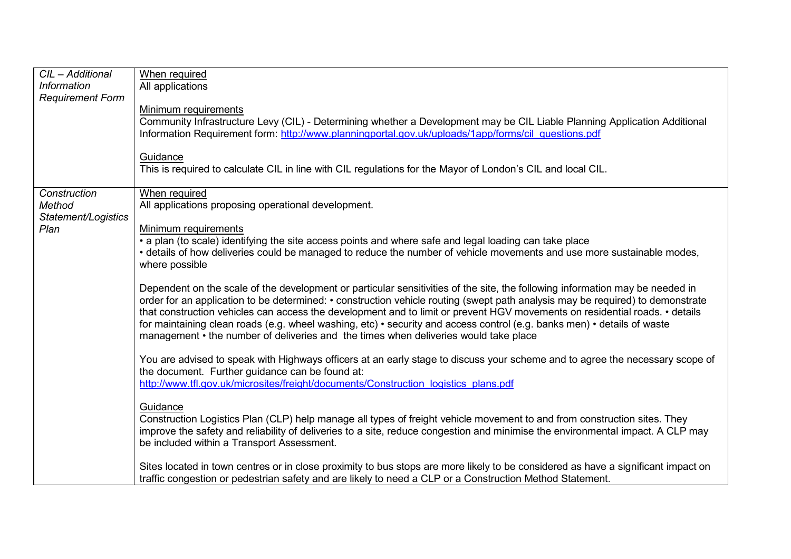| CIL - Additional<br><b>Information</b><br><b>Requirement Form</b> | When required<br>All applications<br>Minimum requirements<br>Community Infrastructure Levy (CIL) - Determining whether a Development may be CIL Liable Planning Application Additional<br>Information Requirement form: http://www.planningportal.gov.uk/uploads/1app/forms/cil questions.pdf                                                                                                                                                                                                                                                                                                                                                                                                                                                                                                                                                                                                                                                                                                                                                                                                                                                                                                                                                                                                                                                                                                                                                                                                                                                                             |
|-------------------------------------------------------------------|---------------------------------------------------------------------------------------------------------------------------------------------------------------------------------------------------------------------------------------------------------------------------------------------------------------------------------------------------------------------------------------------------------------------------------------------------------------------------------------------------------------------------------------------------------------------------------------------------------------------------------------------------------------------------------------------------------------------------------------------------------------------------------------------------------------------------------------------------------------------------------------------------------------------------------------------------------------------------------------------------------------------------------------------------------------------------------------------------------------------------------------------------------------------------------------------------------------------------------------------------------------------------------------------------------------------------------------------------------------------------------------------------------------------------------------------------------------------------------------------------------------------------------------------------------------------------|
|                                                                   | Guidance<br>This is required to calculate CIL in line with CIL regulations for the Mayor of London's CIL and local CIL.                                                                                                                                                                                                                                                                                                                                                                                                                                                                                                                                                                                                                                                                                                                                                                                                                                                                                                                                                                                                                                                                                                                                                                                                                                                                                                                                                                                                                                                   |
| Construction<br>Method<br>Statement/Logistics<br>Plan             | When required<br>All applications proposing operational development.<br>Minimum requirements<br>• a plan (to scale) identifying the site access points and where safe and legal loading can take place<br>• details of how deliveries could be managed to reduce the number of vehicle movements and use more sustainable modes,<br>where possible<br>Dependent on the scale of the development or particular sensitivities of the site, the following information may be needed in<br>order for an application to be determined: • construction vehicle routing (swept path analysis may be required) to demonstrate<br>that construction vehicles can access the development and to limit or prevent HGV movements on residential roads. • details<br>for maintaining clean roads (e.g. wheel washing, etc) • security and access control (e.g. banks men) • details of waste<br>management • the number of deliveries and the times when deliveries would take place<br>You are advised to speak with Highways officers at an early stage to discuss your scheme and to agree the necessary scope of<br>the document. Further guidance can be found at:<br>http://www.tfl.gov.uk/microsites/freight/documents/Construction logistics plans.pdf<br>Guidance<br>Construction Logistics Plan (CLP) help manage all types of freight vehicle movement to and from construction sites. They<br>improve the safety and reliability of deliveries to a site, reduce congestion and minimise the environmental impact. A CLP may<br>be included within a Transport Assessment. |
|                                                                   | Sites located in town centres or in close proximity to bus stops are more likely to be considered as have a significant impact on<br>traffic congestion or pedestrian safety and are likely to need a CLP or a Construction Method Statement.                                                                                                                                                                                                                                                                                                                                                                                                                                                                                                                                                                                                                                                                                                                                                                                                                                                                                                                                                                                                                                                                                                                                                                                                                                                                                                                             |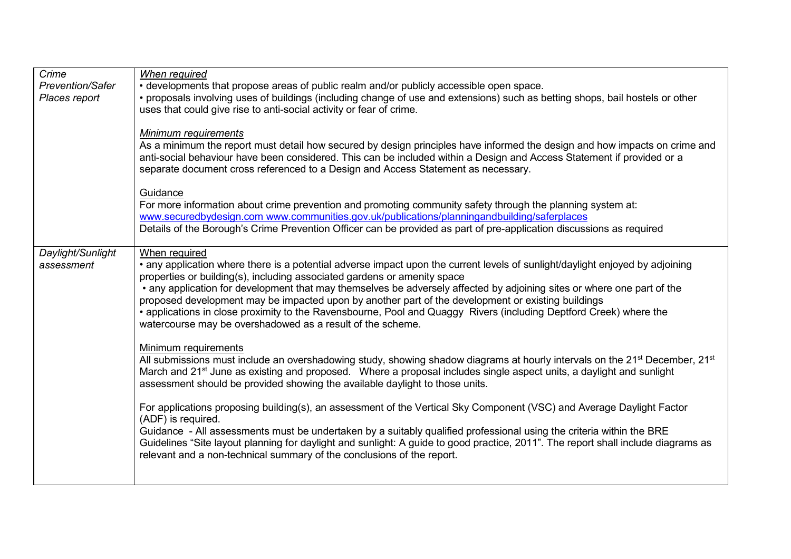| Crime<br><b>Prevention/Safer</b><br>Places report | When required<br>• developments that propose areas of public realm and/or publicly accessible open space.<br>• proposals involving uses of buildings (including change of use and extensions) such as betting shops, bail hostels or other<br>uses that could give rise to anti-social activity or fear of crime.                                                                                                                                                                                                                                                                                                                               |
|---------------------------------------------------|-------------------------------------------------------------------------------------------------------------------------------------------------------------------------------------------------------------------------------------------------------------------------------------------------------------------------------------------------------------------------------------------------------------------------------------------------------------------------------------------------------------------------------------------------------------------------------------------------------------------------------------------------|
|                                                   | Minimum requirements<br>As a minimum the report must detail how secured by design principles have informed the design and how impacts on crime and<br>anti-social behaviour have been considered. This can be included within a Design and Access Statement if provided or a<br>separate document cross referenced to a Design and Access Statement as necessary.                                                                                                                                                                                                                                                                               |
|                                                   | Guidance<br>For more information about crime prevention and promoting community safety through the planning system at:<br>www.securedbydesign.com www.communities.gov.uk/publications/planningandbuilding/saferplaces<br>Details of the Borough's Crime Prevention Officer can be provided as part of pre-application discussions as required                                                                                                                                                                                                                                                                                                   |
| Daylight/Sunlight<br>assessment                   | When required<br>• any application where there is a potential adverse impact upon the current levels of sunlight/daylight enjoyed by adjoining<br>properties or building(s), including associated gardens or amenity space<br>• any application for development that may themselves be adversely affected by adjoining sites or where one part of the<br>proposed development may be impacted upon by another part of the development or existing buildings<br>• applications in close proximity to the Ravensbourne, Pool and Quaggy Rivers (including Deptford Creek) where the<br>watercourse may be overshadowed as a result of the scheme. |
|                                                   | Minimum requirements<br>All submissions must include an overshadowing study, showing shadow diagrams at hourly intervals on the 21 <sup>st</sup> December, 21 <sup>st</sup><br>March and 21 <sup>st</sup> June as existing and proposed. Where a proposal includes single aspect units, a daylight and sunlight<br>assessment should be provided showing the available daylight to those units.                                                                                                                                                                                                                                                 |
|                                                   | For applications proposing building(s), an assessment of the Vertical Sky Component (VSC) and Average Daylight Factor<br>(ADF) is required.<br>Guidance - All assessments must be undertaken by a suitably qualified professional using the criteria within the BRE<br>Guidelines "Site layout planning for daylight and sunlight: A guide to good practice, 2011". The report shall include diagrams as<br>relevant and a non-technical summary of the conclusions of the report.                                                                                                                                                              |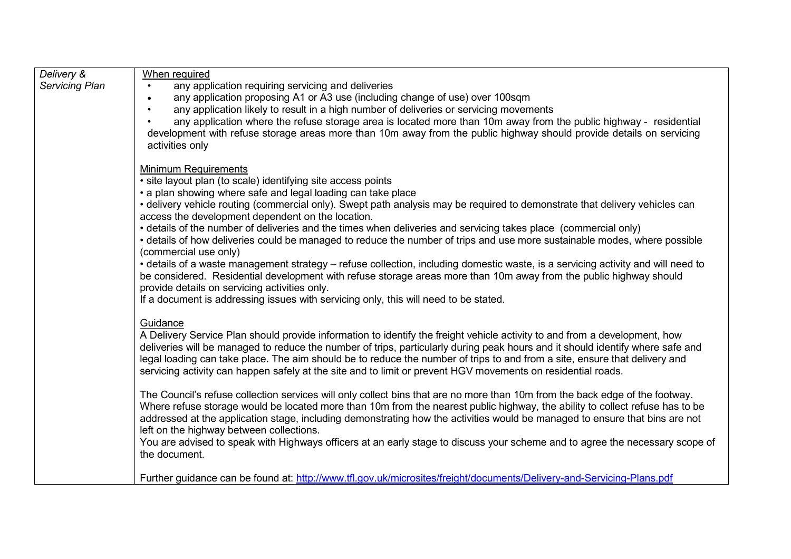| Delivery &     | When required                                                                                                                                                                    |
|----------------|----------------------------------------------------------------------------------------------------------------------------------------------------------------------------------|
| Servicing Plan | any application requiring servicing and deliveries<br>$\bullet$                                                                                                                  |
|                | any application proposing A1 or A3 use (including change of use) over 100sqm<br>$\bullet$                                                                                        |
|                | any application likely to result in a high number of deliveries or servicing movements                                                                                           |
|                | any application where the refuse storage area is located more than 10m away from the public highway - residential                                                                |
|                | development with refuse storage areas more than 10m away from the public highway should provide details on servicing                                                             |
|                | activities only                                                                                                                                                                  |
|                | <b>Minimum Requirements</b>                                                                                                                                                      |
|                | • site layout plan (to scale) identifying site access points                                                                                                                     |
|                | • a plan showing where safe and legal loading can take place                                                                                                                     |
|                | • delivery vehicle routing (commercial only). Swept path analysis may be required to demonstrate that delivery vehicles can<br>access the development dependent on the location. |
|                | • details of the number of deliveries and the times when deliveries and servicing takes place (commercial only)                                                                  |
|                | • details of how deliveries could be managed to reduce the number of trips and use more sustainable modes, where possible                                                        |
|                | (commercial use only)                                                                                                                                                            |
|                | • details of a waste management strategy – refuse collection, including domestic waste, is a servicing activity and will need to                                                 |
|                | be considered. Residential development with refuse storage areas more than 10m away from the public highway should                                                               |
|                | provide details on servicing activities only.                                                                                                                                    |
|                | If a document is addressing issues with servicing only, this will need to be stated.                                                                                             |
|                | Guidance                                                                                                                                                                         |
|                | A Delivery Service Plan should provide information to identify the freight vehicle activity to and from a development, how                                                       |
|                | deliveries will be managed to reduce the number of trips, particularly during peak hours and it should identify where safe and                                                   |
|                | legal loading can take place. The aim should be to reduce the number of trips to and from a site, ensure that delivery and                                                       |
|                | servicing activity can happen safely at the site and to limit or prevent HGV movements on residential roads.                                                                     |
|                | The Council's refuse collection services will only collect bins that are no more than 10m from the back edge of the footway.                                                     |
|                | Where refuse storage would be located more than 10m from the nearest public highway, the ability to collect refuse has to be                                                     |
|                | addressed at the application stage, including demonstrating how the activities would be managed to ensure that bins are not                                                      |
|                | left on the highway between collections.                                                                                                                                         |
|                | You are advised to speak with Highways officers at an early stage to discuss your scheme and to agree the necessary scope of                                                     |
|                | the document.                                                                                                                                                                    |
|                |                                                                                                                                                                                  |
|                | Further guidance can be found at: http://www.tfl.gov.uk/microsites/freight/documents/Delivery-and-Servicing-Plans.pdf                                                            |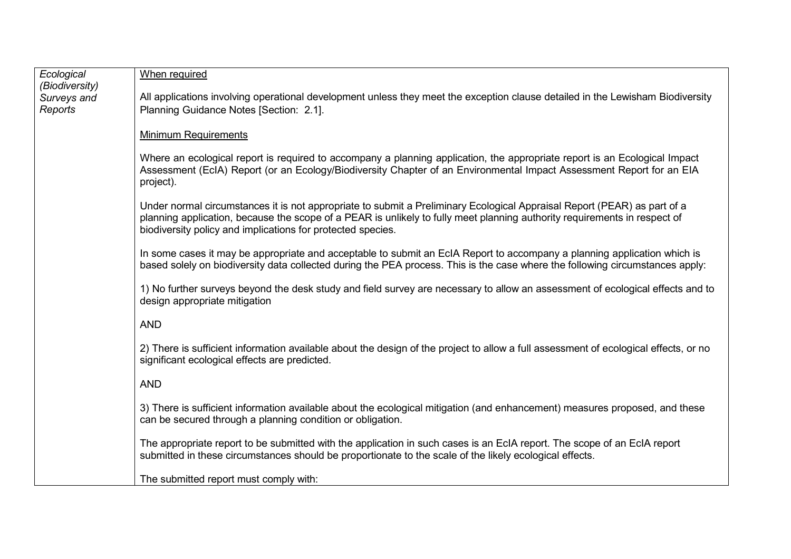| Ecological             | When required                                                                                                                                                                                                                                                                                                        |
|------------------------|----------------------------------------------------------------------------------------------------------------------------------------------------------------------------------------------------------------------------------------------------------------------------------------------------------------------|
| (Biodiversity)         | All applications involving operational development unless they meet the exception clause detailed in the Lewisham Biodiversity                                                                                                                                                                                       |
| Surveys and<br>Reports | Planning Guidance Notes [Section: 2.1].                                                                                                                                                                                                                                                                              |
|                        | <b>Minimum Requirements</b>                                                                                                                                                                                                                                                                                          |
|                        | Where an ecological report is required to accompany a planning application, the appropriate report is an Ecological Impact<br>Assessment (EcIA) Report (or an Ecology/Biodiversity Chapter of an Environmental Impact Assessment Report for an EIA<br>project).                                                      |
|                        | Under normal circumstances it is not appropriate to submit a Preliminary Ecological Appraisal Report (PEAR) as part of a<br>planning application, because the scope of a PEAR is unlikely to fully meet planning authority requirements in respect of<br>biodiversity policy and implications for protected species. |
|                        | In some cases it may be appropriate and acceptable to submit an EcIA Report to accompany a planning application which is<br>based solely on biodiversity data collected during the PEA process. This is the case where the following circumstances apply:                                                            |
|                        | 1) No further surveys beyond the desk study and field survey are necessary to allow an assessment of ecological effects and to<br>design appropriate mitigation                                                                                                                                                      |
|                        | <b>AND</b>                                                                                                                                                                                                                                                                                                           |
|                        | 2) There is sufficient information available about the design of the project to allow a full assessment of ecological effects, or no<br>significant ecological effects are predicted.                                                                                                                                |
|                        | <b>AND</b>                                                                                                                                                                                                                                                                                                           |
|                        | 3) There is sufficient information available about the ecological mitigation (and enhancement) measures proposed, and these<br>can be secured through a planning condition or obligation.                                                                                                                            |
|                        | The appropriate report to be submitted with the application in such cases is an EcIA report. The scope of an EcIA report<br>submitted in these circumstances should be proportionate to the scale of the likely ecological effects.                                                                                  |
|                        | The submitted report must comply with:                                                                                                                                                                                                                                                                               |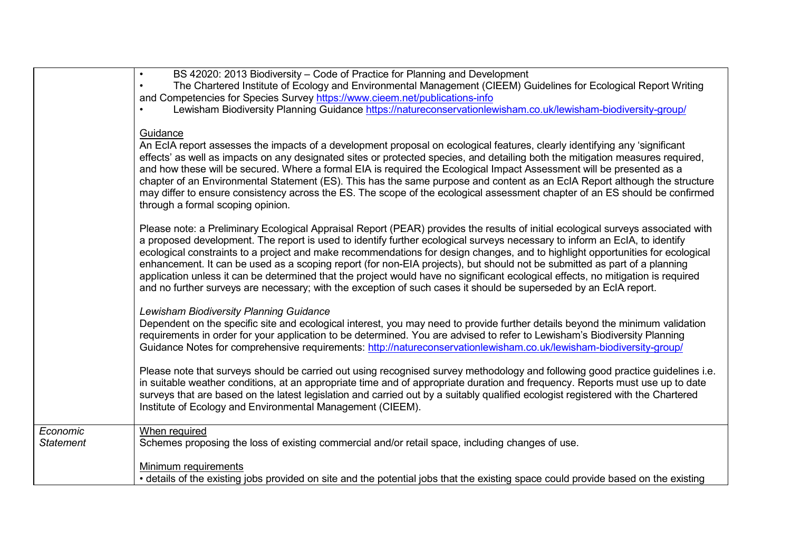|                              | BS 42020: 2013 Biodiversity – Code of Practice for Planning and Development                                                                                                                                                                                                                                                                                                                                                                                                                                                                                                                                                                                                                                                                                                                                                 |
|------------------------------|-----------------------------------------------------------------------------------------------------------------------------------------------------------------------------------------------------------------------------------------------------------------------------------------------------------------------------------------------------------------------------------------------------------------------------------------------------------------------------------------------------------------------------------------------------------------------------------------------------------------------------------------------------------------------------------------------------------------------------------------------------------------------------------------------------------------------------|
|                              | The Chartered Institute of Ecology and Environmental Management (CIEEM) Guidelines for Ecological Report Writing                                                                                                                                                                                                                                                                                                                                                                                                                                                                                                                                                                                                                                                                                                            |
|                              |                                                                                                                                                                                                                                                                                                                                                                                                                                                                                                                                                                                                                                                                                                                                                                                                                             |
|                              | and Competencies for Species Survey https://www.cieem.net/publications-info                                                                                                                                                                                                                                                                                                                                                                                                                                                                                                                                                                                                                                                                                                                                                 |
|                              | Lewisham Biodiversity Planning Guidance https://natureconservationlewisham.co.uk/lewisham-biodiversity-group/                                                                                                                                                                                                                                                                                                                                                                                                                                                                                                                                                                                                                                                                                                               |
|                              | Guidance<br>An EcIA report assesses the impacts of a development proposal on ecological features, clearly identifying any 'significant<br>effects' as well as impacts on any designated sites or protected species, and detailing both the mitigation measures required,<br>and how these will be secured. Where a formal EIA is required the Ecological Impact Assessment will be presented as a<br>chapter of an Environmental Statement (ES). This has the same purpose and content as an EcIA Report although the structure<br>may differ to ensure consistency across the ES. The scope of the ecological assessment chapter of an ES should be confirmed                                                                                                                                                              |
|                              | through a formal scoping opinion.<br>Please note: a Preliminary Ecological Appraisal Report (PEAR) provides the results of initial ecological surveys associated with<br>a proposed development. The report is used to identify further ecological surveys necessary to inform an EcIA, to identify<br>ecological constraints to a project and make recommendations for design changes, and to highlight opportunities for ecological<br>enhancement. It can be used as a scoping report (for non-EIA projects), but should not be submitted as part of a planning<br>application unless it can be determined that the project would have no significant ecological effects, no mitigation is required<br>and no further surveys are necessary; with the exception of such cases it should be superseded by an EcIA report. |
|                              | Lewisham Biodiversity Planning Guidance<br>Dependent on the specific site and ecological interest, you may need to provide further details beyond the minimum validation<br>requirements in order for your application to be determined. You are advised to refer to Lewisham's Biodiversity Planning<br>Guidance Notes for comprehensive requirements: http://natureconservationlewisham.co.uk/lewisham-biodiversity-group/                                                                                                                                                                                                                                                                                                                                                                                                |
|                              | Please note that surveys should be carried out using recognised survey methodology and following good practice guidelines i.e.<br>in suitable weather conditions, at an appropriate time and of appropriate duration and frequency. Reports must use up to date<br>surveys that are based on the latest legislation and carried out by a suitably qualified ecologist registered with the Chartered<br>Institute of Ecology and Environmental Management (CIEEM).                                                                                                                                                                                                                                                                                                                                                           |
| Economic<br><b>Statement</b> | When required<br>Schemes proposing the loss of existing commercial and/or retail space, including changes of use.                                                                                                                                                                                                                                                                                                                                                                                                                                                                                                                                                                                                                                                                                                           |
|                              | Minimum requirements<br>• details of the existing jobs provided on site and the potential jobs that the existing space could provide based on the existing                                                                                                                                                                                                                                                                                                                                                                                                                                                                                                                                                                                                                                                                  |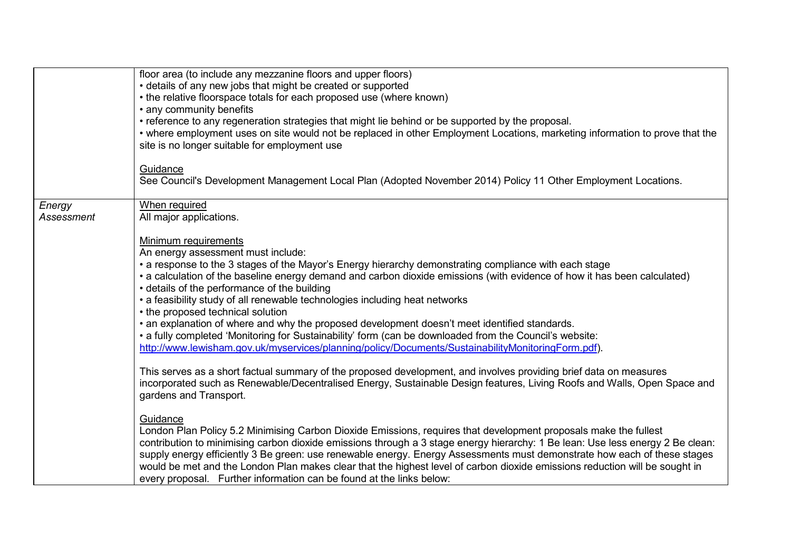|                      | floor area (to include any mezzanine floors and upper floors)<br>• details of any new jobs that might be created or supported<br>• the relative floorspace totals for each proposed use (where known)<br>• any community benefits<br>• reference to any regeneration strategies that might lie behind or be supported by the proposal.<br>• where employment uses on site would not be replaced in other Employment Locations, marketing information to prove that the<br>site is no longer suitable for employment use                                                                                                                                                                                                                                                                                                                                                                                                                                                                                                                |
|----------------------|----------------------------------------------------------------------------------------------------------------------------------------------------------------------------------------------------------------------------------------------------------------------------------------------------------------------------------------------------------------------------------------------------------------------------------------------------------------------------------------------------------------------------------------------------------------------------------------------------------------------------------------------------------------------------------------------------------------------------------------------------------------------------------------------------------------------------------------------------------------------------------------------------------------------------------------------------------------------------------------------------------------------------------------|
|                      | Guidance<br>See Council's Development Management Local Plan (Adopted November 2014) Policy 11 Other Employment Locations.                                                                                                                                                                                                                                                                                                                                                                                                                                                                                                                                                                                                                                                                                                                                                                                                                                                                                                              |
| Energy<br>Assessment | When required<br>All major applications.                                                                                                                                                                                                                                                                                                                                                                                                                                                                                                                                                                                                                                                                                                                                                                                                                                                                                                                                                                                               |
|                      | Minimum requirements<br>An energy assessment must include:<br>• a response to the 3 stages of the Mayor's Energy hierarchy demonstrating compliance with each stage<br>• a calculation of the baseline energy demand and carbon dioxide emissions (with evidence of how it has been calculated)<br>• details of the performance of the building<br>• a feasibility study of all renewable technologies including heat networks<br>• the proposed technical solution<br>• an explanation of where and why the proposed development doesn't meet identified standards.<br>• a fully completed 'Monitoring for Sustainability' form (can be downloaded from the Council's website:<br>http://www.lewisham.gov.uk/myservices/planning/policy/Documents/SustainabilityMonitoringForm.pdf).<br>This serves as a short factual summary of the proposed development, and involves providing brief data on measures<br>incorporated such as Renewable/Decentralised Energy, Sustainable Design features, Living Roofs and Walls, Open Space and |
|                      | gardens and Transport.<br>Guidance<br>London Plan Policy 5.2 Minimising Carbon Dioxide Emissions, requires that development proposals make the fullest<br>contribution to minimising carbon dioxide emissions through a 3 stage energy hierarchy: 1 Be lean: Use less energy 2 Be clean:<br>supply energy efficiently 3 Be green: use renewable energy. Energy Assessments must demonstrate how each of these stages<br>would be met and the London Plan makes clear that the highest level of carbon dioxide emissions reduction will be sought in<br>every proposal. Further information can be found at the links below:                                                                                                                                                                                                                                                                                                                                                                                                            |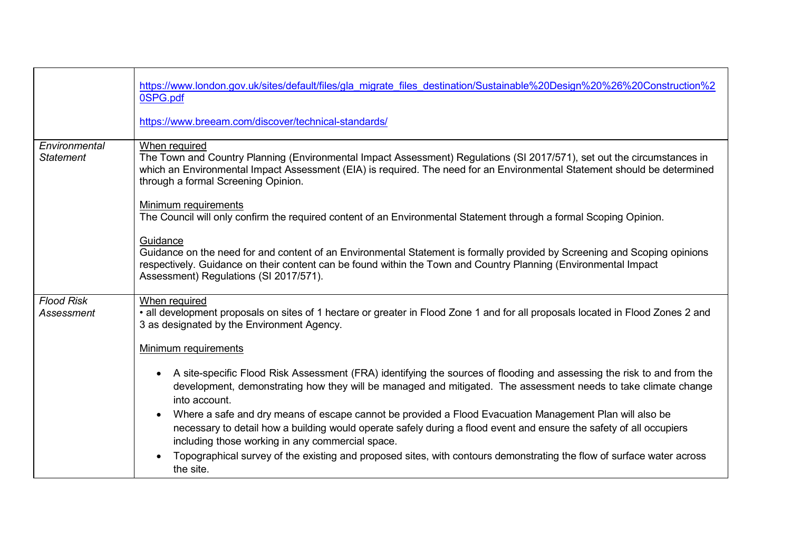|                                   | https://www.london.gov.uk/sites/default/files/gla migrate files destination/Sustainable%20Design%20%26%20Construction%2<br>0SPG.pdf                                                                                                                                                                         |
|-----------------------------------|-------------------------------------------------------------------------------------------------------------------------------------------------------------------------------------------------------------------------------------------------------------------------------------------------------------|
|                                   | https://www.breeam.com/discover/technical-standards/                                                                                                                                                                                                                                                        |
| Environmental<br><b>Statement</b> | When required<br>The Town and Country Planning (Environmental Impact Assessment) Regulations (SI 2017/571), set out the circumstances in<br>which an Environmental Impact Assessment (EIA) is required. The need for an Environmental Statement should be determined<br>through a formal Screening Opinion. |
|                                   | <b>Minimum requirements</b><br>The Council will only confirm the required content of an Environmental Statement through a formal Scoping Opinion.                                                                                                                                                           |
|                                   | Guidance<br>Guidance on the need for and content of an Environmental Statement is formally provided by Screening and Scoping opinions<br>respectively. Guidance on their content can be found within the Town and Country Planning (Environmental Impact<br>Assessment) Regulations (SI 2017/571).          |
| <b>Flood Risk</b><br>Assessment   | When required<br>• all development proposals on sites of 1 hectare or greater in Flood Zone 1 and for all proposals located in Flood Zones 2 and<br>3 as designated by the Environment Agency.                                                                                                              |
|                                   | <b>Minimum requirements</b>                                                                                                                                                                                                                                                                                 |
|                                   | A site-specific Flood Risk Assessment (FRA) identifying the sources of flooding and assessing the risk to and from the<br>$\bullet$<br>development, demonstrating how they will be managed and mitigated. The assessment needs to take climate change<br>into account.                                      |
|                                   | Where a safe and dry means of escape cannot be provided a Flood Evacuation Management Plan will also be<br>necessary to detail how a building would operate safely during a flood event and ensure the safety of all occupiers<br>including those working in any commercial space.                          |
|                                   | Topographical survey of the existing and proposed sites, with contours demonstrating the flow of surface water across<br>the site.                                                                                                                                                                          |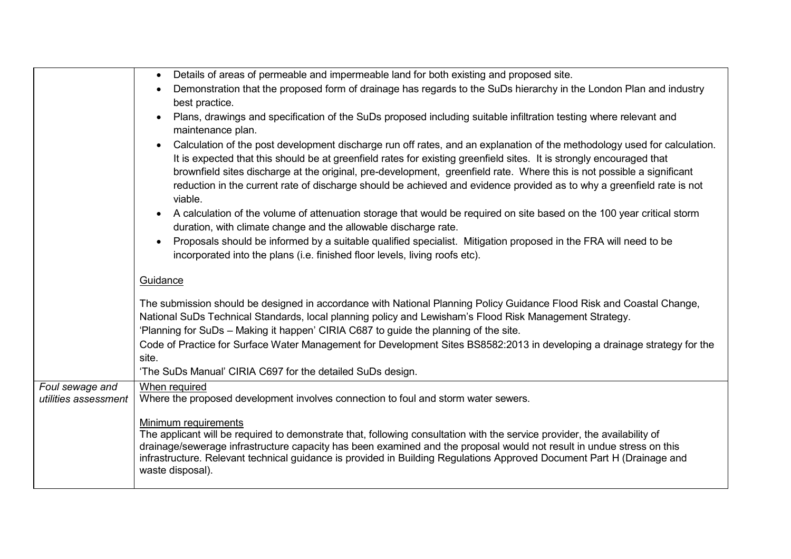|                                         | Details of areas of permeable and impermeable land for both existing and proposed site.<br>$\bullet$                                                                                                                                                                                                                                                                                                                                                                                                            |
|-----------------------------------------|-----------------------------------------------------------------------------------------------------------------------------------------------------------------------------------------------------------------------------------------------------------------------------------------------------------------------------------------------------------------------------------------------------------------------------------------------------------------------------------------------------------------|
|                                         | Demonstration that the proposed form of drainage has regards to the SuDs hierarchy in the London Plan and industry                                                                                                                                                                                                                                                                                                                                                                                              |
|                                         | best practice.                                                                                                                                                                                                                                                                                                                                                                                                                                                                                                  |
|                                         | Plans, drawings and specification of the SuDs proposed including suitable infiltration testing where relevant and<br>maintenance plan.                                                                                                                                                                                                                                                                                                                                                                          |
|                                         | Calculation of the post development discharge run off rates, and an explanation of the methodology used for calculation.<br>It is expected that this should be at greenfield rates for existing greenfield sites. It is strongly encouraged that<br>brownfield sites discharge at the original, pre-development, greenfield rate. Where this is not possible a significant<br>reduction in the current rate of discharge should be achieved and evidence provided as to why a greenfield rate is not<br>viable. |
|                                         | A calculation of the volume of attenuation storage that would be required on site based on the 100 year critical storm<br>$\bullet$<br>duration, with climate change and the allowable discharge rate.                                                                                                                                                                                                                                                                                                          |
|                                         | Proposals should be informed by a suitable qualified specialist. Mitigation proposed in the FRA will need to be<br>incorporated into the plans (i.e. finished floor levels, living roofs etc).                                                                                                                                                                                                                                                                                                                  |
|                                         | Guidance                                                                                                                                                                                                                                                                                                                                                                                                                                                                                                        |
|                                         | The submission should be designed in accordance with National Planning Policy Guidance Flood Risk and Coastal Change,<br>National SuDs Technical Standards, local planning policy and Lewisham's Flood Risk Management Strategy.                                                                                                                                                                                                                                                                                |
|                                         | 'Planning for SuDs - Making it happen' CIRIA C687 to guide the planning of the site.                                                                                                                                                                                                                                                                                                                                                                                                                            |
|                                         | Code of Practice for Surface Water Management for Development Sites BS8582:2013 in developing a drainage strategy for the                                                                                                                                                                                                                                                                                                                                                                                       |
|                                         | site.                                                                                                                                                                                                                                                                                                                                                                                                                                                                                                           |
|                                         | 'The SuDs Manual' CIRIA C697 for the detailed SuDs design.                                                                                                                                                                                                                                                                                                                                                                                                                                                      |
| Foul sewage and<br>utilities assessment | When required<br>Where the proposed development involves connection to foul and storm water sewers.                                                                                                                                                                                                                                                                                                                                                                                                             |
|                                         | Minimum requirements<br>The applicant will be required to demonstrate that, following consultation with the service provider, the availability of<br>drainage/sewerage infrastructure capacity has been examined and the proposal would not result in undue stress on this<br>infrastructure. Relevant technical guidance is provided in Building Regulations Approved Document Part H (Drainage and<br>waste disposal).                                                                                        |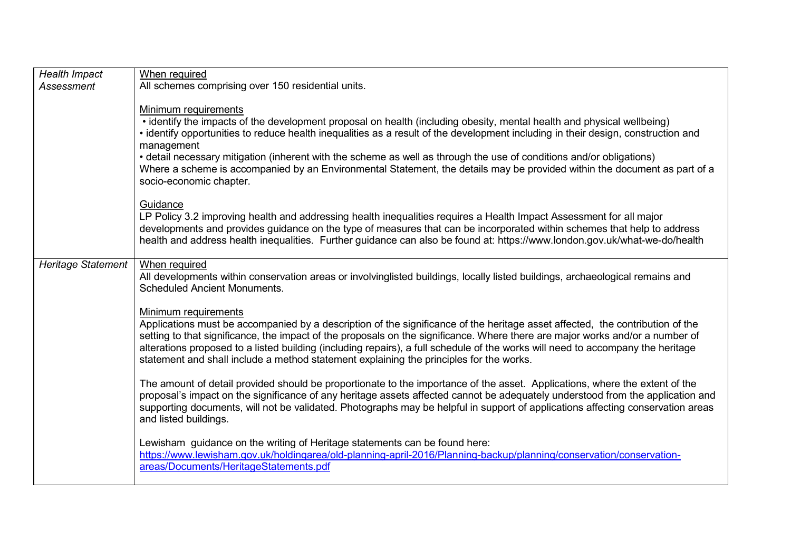| <b>Health Impact</b><br>Assessment | When required<br>All schemes comprising over 150 residential units.                                                                                                                                                                                                                                                                                                                                                                                                                                                                                                               |
|------------------------------------|-----------------------------------------------------------------------------------------------------------------------------------------------------------------------------------------------------------------------------------------------------------------------------------------------------------------------------------------------------------------------------------------------------------------------------------------------------------------------------------------------------------------------------------------------------------------------------------|
|                                    | Minimum requirements<br>• identify the impacts of the development proposal on health (including obesity, mental health and physical wellbeing)<br>• identify opportunities to reduce health inequalities as a result of the development including in their design, construction and<br>management<br>• detail necessary mitigation (inherent with the scheme as well as through the use of conditions and/or obligations)<br>Where a scheme is accompanied by an Environmental Statement, the details may be provided within the document as part of a<br>socio-economic chapter. |
|                                    | Guidance<br>LP Policy 3.2 improving health and addressing health inequalities requires a Health Impact Assessment for all major<br>developments and provides guidance on the type of measures that can be incorporated within schemes that help to address<br>health and address health inequalities. Further guidance can also be found at: https://www.london.gov.uk/what-we-do/health                                                                                                                                                                                          |
| <b>Heritage Statement</b>          | When required<br>All developments within conservation areas or involvinglisted buildings, locally listed buildings, archaeological remains and<br><b>Scheduled Ancient Monuments.</b>                                                                                                                                                                                                                                                                                                                                                                                             |
|                                    | Minimum requirements<br>Applications must be accompanied by a description of the significance of the heritage asset affected, the contribution of the<br>setting to that significance, the impact of the proposals on the significance. Where there are major works and/or a number of<br>alterations proposed to a listed building (including repairs), a full schedule of the works will need to accompany the heritage<br>statement and shall include a method statement explaining the principles for the works.                                                              |
|                                    | The amount of detail provided should be proportionate to the importance of the asset. Applications, where the extent of the<br>proposal's impact on the significance of any heritage assets affected cannot be adequately understood from the application and<br>supporting documents, will not be validated. Photographs may be helpful in support of applications affecting conservation areas<br>and listed buildings.                                                                                                                                                         |
|                                    | Lewisham guidance on the writing of Heritage statements can be found here:<br>https://www.lewisham.gov.uk/holdingarea/old-planning-april-2016/Planning-backup/planning/conservation/conservation-<br>areas/Documents/HeritageStatements.pdf                                                                                                                                                                                                                                                                                                                                       |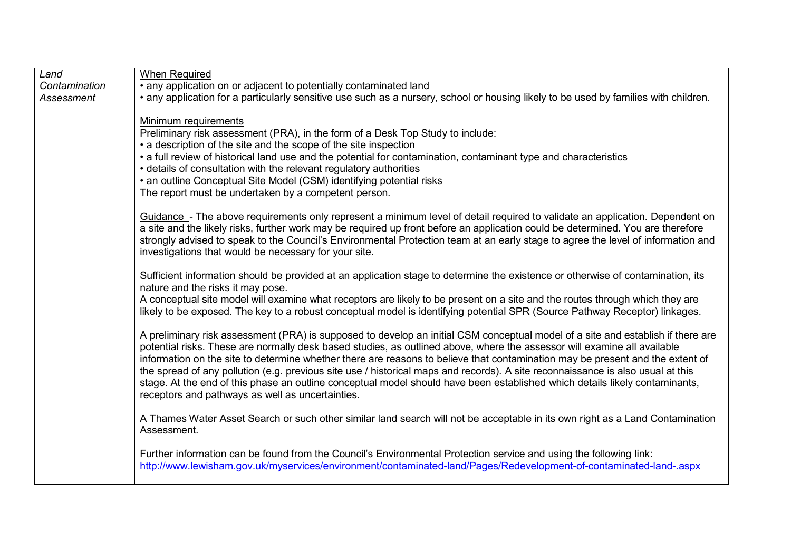| Land          | <b>When Required</b>                                                                                                                                                            |
|---------------|---------------------------------------------------------------------------------------------------------------------------------------------------------------------------------|
| Contamination | · any application on or adjacent to potentially contaminated land                                                                                                               |
| Assessment    | • any application for a particularly sensitive use such as a nursery, school or housing likely to be used by families with children.                                            |
|               |                                                                                                                                                                                 |
|               | Minimum requirements<br>Preliminary risk assessment (PRA), in the form of a Desk Top Study to include:                                                                          |
|               | • a description of the site and the scope of the site inspection                                                                                                                |
|               | • a full review of historical land use and the potential for contamination, contaminant type and characteristics                                                                |
|               | • details of consultation with the relevant regulatory authorities                                                                                                              |
|               | • an outline Conceptual Site Model (CSM) identifying potential risks                                                                                                            |
|               | The report must be undertaken by a competent person.                                                                                                                            |
|               |                                                                                                                                                                                 |
|               | Guidance - The above requirements only represent a minimum level of detail required to validate an application. Dependent on                                                    |
|               | a site and the likely risks, further work may be required up front before an application could be determined. You are therefore                                                 |
|               | strongly advised to speak to the Council's Environmental Protection team at an early stage to agree the level of information and                                                |
|               | investigations that would be necessary for your site.                                                                                                                           |
|               | Sufficient information should be provided at an application stage to determine the existence or otherwise of contamination, its                                                 |
|               | nature and the risks it may pose.                                                                                                                                               |
|               | A conceptual site model will examine what receptors are likely to be present on a site and the routes through which they are                                                    |
|               | likely to be exposed. The key to a robust conceptual model is identifying potential SPR (Source Pathway Receptor) linkages.                                                     |
|               |                                                                                                                                                                                 |
|               | A preliminary risk assessment (PRA) is supposed to develop an initial CSM conceptual model of a site and establish if there are                                                 |
|               | potential risks. These are normally desk based studies, as outlined above, where the assessor will examine all available                                                        |
|               | information on the site to determine whether there are reasons to believe that contamination may be present and the extent of                                                   |
|               | the spread of any pollution (e.g. previous site use / historical maps and records). A site reconnaissance is also usual at this                                                 |
|               | stage. At the end of this phase an outline conceptual model should have been established which details likely contaminants,<br>receptors and pathways as well as uncertainties. |
|               |                                                                                                                                                                                 |
|               | A Thames Water Asset Search or such other similar land search will not be acceptable in its own right as a Land Contamination                                                   |
|               | Assessment.                                                                                                                                                                     |
|               |                                                                                                                                                                                 |
|               | Further information can be found from the Council's Environmental Protection service and using the following link:                                                              |
|               | http://www.lewisham.gov.uk/myservices/environment/contaminated-land/Pages/Redevelopment-of-contaminated-land-.aspx                                                              |
|               |                                                                                                                                                                                 |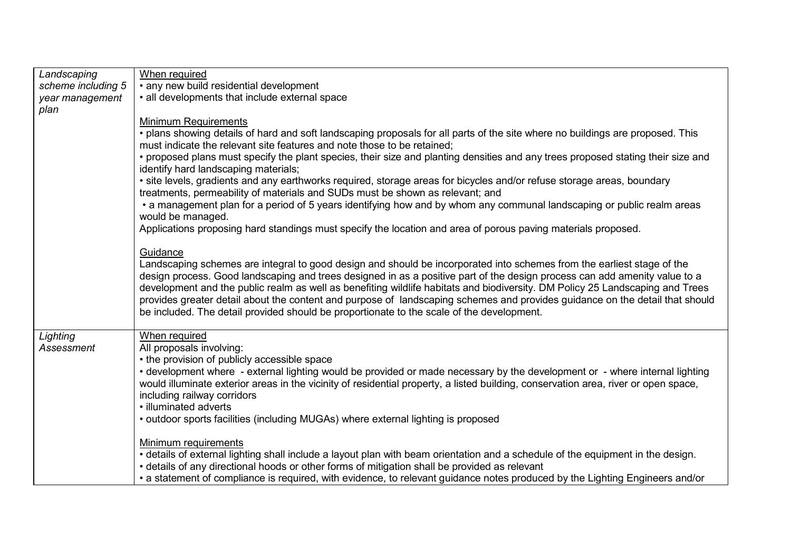| Landscaping        | When required                                                                                                                                                                                                                                                                                                                                                                                                                                                                                                                                                                                                                  |
|--------------------|--------------------------------------------------------------------------------------------------------------------------------------------------------------------------------------------------------------------------------------------------------------------------------------------------------------------------------------------------------------------------------------------------------------------------------------------------------------------------------------------------------------------------------------------------------------------------------------------------------------------------------|
| scheme including 5 | • any new build residential development                                                                                                                                                                                                                                                                                                                                                                                                                                                                                                                                                                                        |
| year management    | • all developments that include external space                                                                                                                                                                                                                                                                                                                                                                                                                                                                                                                                                                                 |
| plan               |                                                                                                                                                                                                                                                                                                                                                                                                                                                                                                                                                                                                                                |
|                    | <b>Minimum Requirements</b>                                                                                                                                                                                                                                                                                                                                                                                                                                                                                                                                                                                                    |
|                    | . plans showing details of hard and soft landscaping proposals for all parts of the site where no buildings are proposed. This                                                                                                                                                                                                                                                                                                                                                                                                                                                                                                 |
|                    | must indicate the relevant site features and note those to be retained:<br>• proposed plans must specify the plant species, their size and planting densities and any trees proposed stating their size and                                                                                                                                                                                                                                                                                                                                                                                                                    |
|                    | identify hard landscaping materials;                                                                                                                                                                                                                                                                                                                                                                                                                                                                                                                                                                                           |
|                    | • site levels, gradients and any earthworks required, storage areas for bicycles and/or refuse storage areas, boundary<br>treatments, permeability of materials and SUDs must be shown as relevant; and                                                                                                                                                                                                                                                                                                                                                                                                                        |
|                    | • a management plan for a period of 5 years identifying how and by whom any communal landscaping or public realm areas<br>would be managed.                                                                                                                                                                                                                                                                                                                                                                                                                                                                                    |
|                    | Applications proposing hard standings must specify the location and area of porous paving materials proposed.                                                                                                                                                                                                                                                                                                                                                                                                                                                                                                                  |
|                    | Guidance<br>Landscaping schemes are integral to good design and should be incorporated into schemes from the earliest stage of the<br>design process. Good landscaping and trees designed in as a positive part of the design process can add amenity value to a<br>development and the public realm as well as benefiting wildlife habitats and biodiversity. DM Policy 25 Landscaping and Trees<br>provides greater detail about the content and purpose of landscaping schemes and provides guidance on the detail that should<br>be included. The detail provided should be proportionate to the scale of the development. |
| Lighting           | When required                                                                                                                                                                                                                                                                                                                                                                                                                                                                                                                                                                                                                  |
| Assessment         | All proposals involving:<br>• the provision of publicly accessible space                                                                                                                                                                                                                                                                                                                                                                                                                                                                                                                                                       |
|                    | • development where - external lighting would be provided or made necessary by the development or - where internal lighting                                                                                                                                                                                                                                                                                                                                                                                                                                                                                                    |
|                    | would illuminate exterior areas in the vicinity of residential property, a listed building, conservation area, river or open space,                                                                                                                                                                                                                                                                                                                                                                                                                                                                                            |
|                    | including railway corridors                                                                                                                                                                                                                                                                                                                                                                                                                                                                                                                                                                                                    |
|                    | · illuminated adverts                                                                                                                                                                                                                                                                                                                                                                                                                                                                                                                                                                                                          |
|                    | • outdoor sports facilities (including MUGAs) where external lighting is proposed                                                                                                                                                                                                                                                                                                                                                                                                                                                                                                                                              |
|                    | Minimum requirements                                                                                                                                                                                                                                                                                                                                                                                                                                                                                                                                                                                                           |
|                    | • details of external lighting shall include a layout plan with beam orientation and a schedule of the equipment in the design.                                                                                                                                                                                                                                                                                                                                                                                                                                                                                                |
|                    | • details of any directional hoods or other forms of mitigation shall be provided as relevant                                                                                                                                                                                                                                                                                                                                                                                                                                                                                                                                  |
|                    | • a statement of compliance is required, with evidence, to relevant guidance notes produced by the Lighting Engineers and/or                                                                                                                                                                                                                                                                                                                                                                                                                                                                                                   |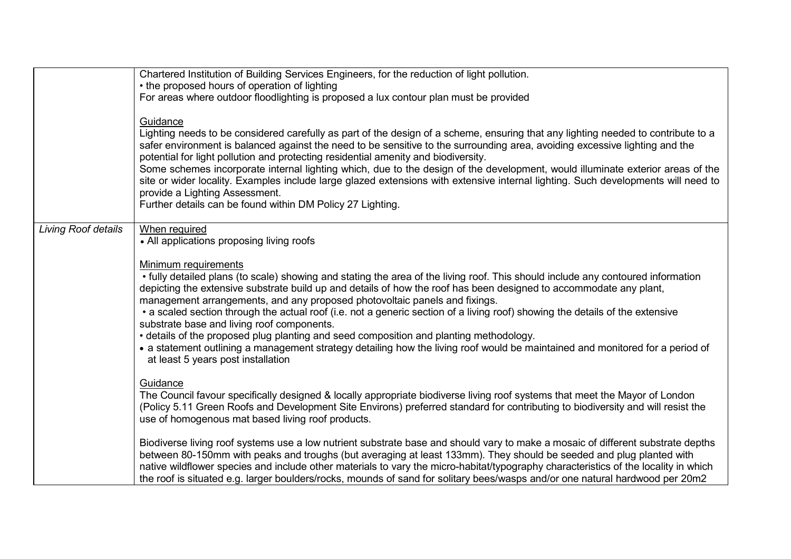|                     | Chartered Institution of Building Services Engineers, for the reduction of light pollution.<br>• the proposed hours of operation of lighting                                                                                                                                                                                                                                                                                                                                                                                                                                                                                                                                                                                                                                                                 |
|---------------------|--------------------------------------------------------------------------------------------------------------------------------------------------------------------------------------------------------------------------------------------------------------------------------------------------------------------------------------------------------------------------------------------------------------------------------------------------------------------------------------------------------------------------------------------------------------------------------------------------------------------------------------------------------------------------------------------------------------------------------------------------------------------------------------------------------------|
|                     | For areas where outdoor floodlighting is proposed a lux contour plan must be provided                                                                                                                                                                                                                                                                                                                                                                                                                                                                                                                                                                                                                                                                                                                        |
|                     | Guidance<br>Lighting needs to be considered carefully as part of the design of a scheme, ensuring that any lighting needed to contribute to a<br>safer environment is balanced against the need to be sensitive to the surrounding area, avoiding excessive lighting and the<br>potential for light pollution and protecting residential amenity and biodiversity.<br>Some schemes incorporate internal lighting which, due to the design of the development, would illuminate exterior areas of the<br>site or wider locality. Examples include large glazed extensions with extensive internal lighting. Such developments will need to<br>provide a Lighting Assessment.<br>Further details can be found within DM Policy 27 Lighting.                                                                    |
| Living Roof details | When required<br>• All applications proposing living roofs                                                                                                                                                                                                                                                                                                                                                                                                                                                                                                                                                                                                                                                                                                                                                   |
|                     | Minimum requirements<br>• fully detailed plans (to scale) showing and stating the area of the living roof. This should include any contoured information<br>depicting the extensive substrate build up and details of how the roof has been designed to accommodate any plant,<br>management arrangements, and any proposed photovoltaic panels and fixings.<br>• a scaled section through the actual roof (i.e. not a generic section of a living roof) showing the details of the extensive<br>substrate base and living roof components.<br>• details of the proposed plug planting and seed composition and planting methodology.<br>• a statement outlining a management strategy detailing how the living roof would be maintained and monitored for a period of<br>at least 5 years post installation |
|                     | Guidance<br>The Council favour specifically designed & locally appropriate biodiverse living roof systems that meet the Mayor of London<br>(Policy 5.11 Green Roofs and Development Site Environs) preferred standard for contributing to biodiversity and will resist the<br>use of homogenous mat based living roof products.                                                                                                                                                                                                                                                                                                                                                                                                                                                                              |
|                     | Biodiverse living roof systems use a low nutrient substrate base and should vary to make a mosaic of different substrate depths<br>between 80-150mm with peaks and troughs (but averaging at least 133mm). They should be seeded and plug planted with<br>native wildflower species and include other materials to vary the micro-habitat/typography characteristics of the locality in which<br>the roof is situated e.g. larger boulders/rocks, mounds of sand for solitary bees/wasps and/or one natural hardwood per 20m2                                                                                                                                                                                                                                                                                |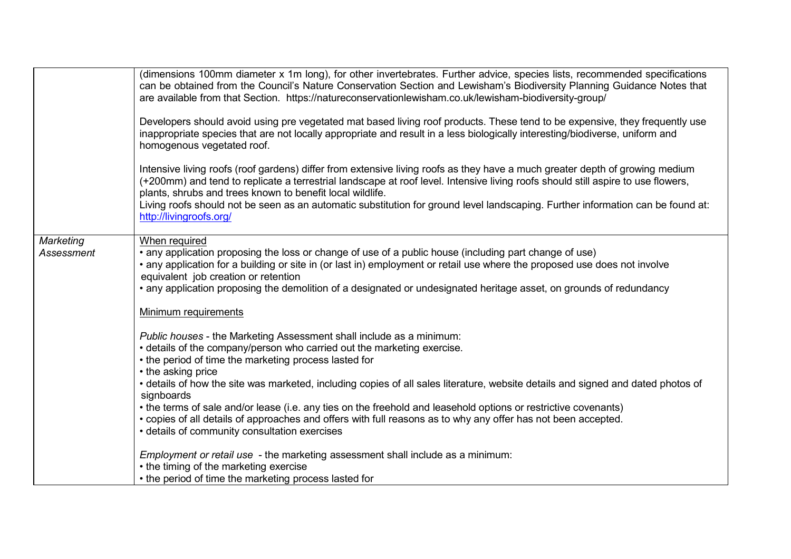|                         | (dimensions 100mm diameter x 1m long), for other invertebrates. Further advice, species lists, recommended specifications<br>can be obtained from the Council's Nature Conservation Section and Lewisham's Biodiversity Planning Guidance Notes that<br>are available from that Section. https://natureconservationlewisham.co.uk/lewisham-biodiversity-group/<br>Developers should avoid using pre vegetated mat based living roof products. These tend to be expensive, they frequently use<br>inappropriate species that are not locally appropriate and result in a less biologically interesting/biodiverse, uniform and<br>homogenous vegetated roof.           |
|-------------------------|-----------------------------------------------------------------------------------------------------------------------------------------------------------------------------------------------------------------------------------------------------------------------------------------------------------------------------------------------------------------------------------------------------------------------------------------------------------------------------------------------------------------------------------------------------------------------------------------------------------------------------------------------------------------------|
|                         | Intensive living roofs (roof gardens) differ from extensive living roofs as they have a much greater depth of growing medium<br>(+200mm) and tend to replicate a terrestrial landscape at roof level. Intensive living roofs should still aspire to use flowers,<br>plants, shrubs and trees known to benefit local wildlife.<br>Living roofs should not be seen as an automatic substitution for ground level landscaping. Further information can be found at:<br>http://livingroofs.org/                                                                                                                                                                           |
| Marketing<br>Assessment | When required<br>• any application proposing the loss or change of use of a public house (including part change of use)<br>• any application for a building or site in (or last in) employment or retail use where the proposed use does not involve<br>equivalent job creation or retention<br>• any application proposing the demolition of a designated or undesignated heritage asset, on grounds of redundancy<br>Minimum requirements                                                                                                                                                                                                                           |
|                         | Public houses - the Marketing Assessment shall include as a minimum:<br>• details of the company/person who carried out the marketing exercise.<br>• the period of time the marketing process lasted for<br>• the asking price<br>• details of how the site was marketed, including copies of all sales literature, website details and signed and dated photos of<br>signboards<br>• the terms of sale and/or lease (i.e. any ties on the freehold and leasehold options or restrictive covenants)<br>• copies of all details of approaches and offers with full reasons as to why any offer has not been accepted.<br>• details of community consultation exercises |
|                         | Employment or retail use - the marketing assessment shall include as a minimum:<br>• the timing of the marketing exercise<br>• the period of time the marketing process lasted for                                                                                                                                                                                                                                                                                                                                                                                                                                                                                    |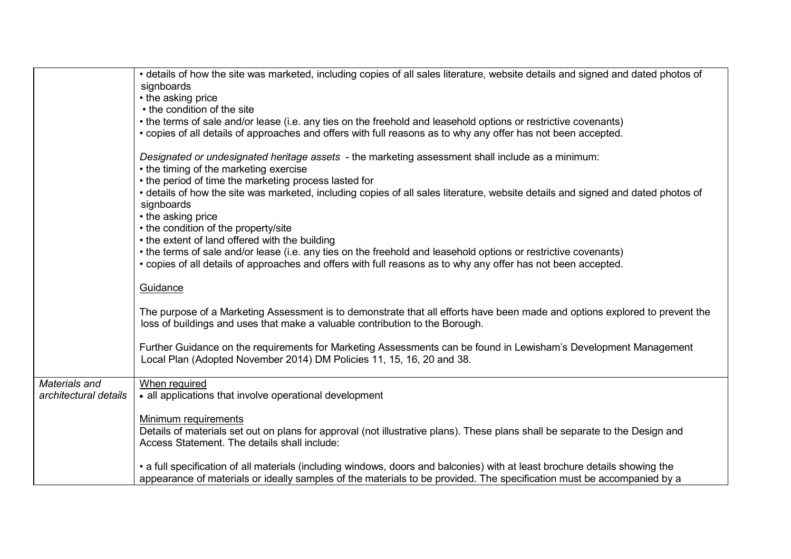|                       | • details of how the site was marketed, including copies of all sales literature, website details and signed and dated photos of                                                                                                 |
|-----------------------|----------------------------------------------------------------------------------------------------------------------------------------------------------------------------------------------------------------------------------|
|                       | signboards<br>• the asking price                                                                                                                                                                                                 |
|                       | • the condition of the site                                                                                                                                                                                                      |
|                       | • the terms of sale and/or lease (i.e. any ties on the freehold and leasehold options or restrictive covenants)                                                                                                                  |
|                       | • copies of all details of approaches and offers with full reasons as to why any offer has not been accepted.                                                                                                                    |
|                       |                                                                                                                                                                                                                                  |
|                       | Designated or undesignated heritage assets - the marketing assessment shall include as a minimum:<br>• the timing of the marketing exercise                                                                                      |
|                       | • the period of time the marketing process lasted for                                                                                                                                                                            |
|                       | • details of how the site was marketed, including copies of all sales literature, website details and signed and dated photos of                                                                                                 |
|                       | signboards                                                                                                                                                                                                                       |
|                       | • the asking price                                                                                                                                                                                                               |
|                       | • the condition of the property/site                                                                                                                                                                                             |
|                       | • the extent of land offered with the building                                                                                                                                                                                   |
|                       | • the terms of sale and/or lease (i.e. any ties on the freehold and leasehold options or restrictive covenants)<br>• copies of all details of approaches and offers with full reasons as to why any offer has not been accepted. |
|                       |                                                                                                                                                                                                                                  |
|                       | Guidance                                                                                                                                                                                                                         |
|                       |                                                                                                                                                                                                                                  |
|                       | The purpose of a Marketing Assessment is to demonstrate that all efforts have been made and options explored to prevent the                                                                                                      |
|                       | loss of buildings and uses that make a valuable contribution to the Borough.                                                                                                                                                     |
|                       | Further Guidance on the requirements for Marketing Assessments can be found in Lewisham's Development Management                                                                                                                 |
|                       | Local Plan (Adopted November 2014) DM Policies 11, 15, 16, 20 and 38.                                                                                                                                                            |
|                       |                                                                                                                                                                                                                                  |
| Materials and         | When required                                                                                                                                                                                                                    |
| architectural details | • all applications that involve operational development                                                                                                                                                                          |
|                       | Minimum requirements                                                                                                                                                                                                             |
|                       | Details of materials set out on plans for approval (not illustrative plans). These plans shall be separate to the Design and                                                                                                     |
|                       | Access Statement. The details shall include:                                                                                                                                                                                     |
|                       |                                                                                                                                                                                                                                  |
|                       | • a full specification of all materials (including windows, doors and balconies) with at least brochure details showing the                                                                                                      |
|                       | appearance of materials or ideally samples of the materials to be provided. The specification must be accompanied by a                                                                                                           |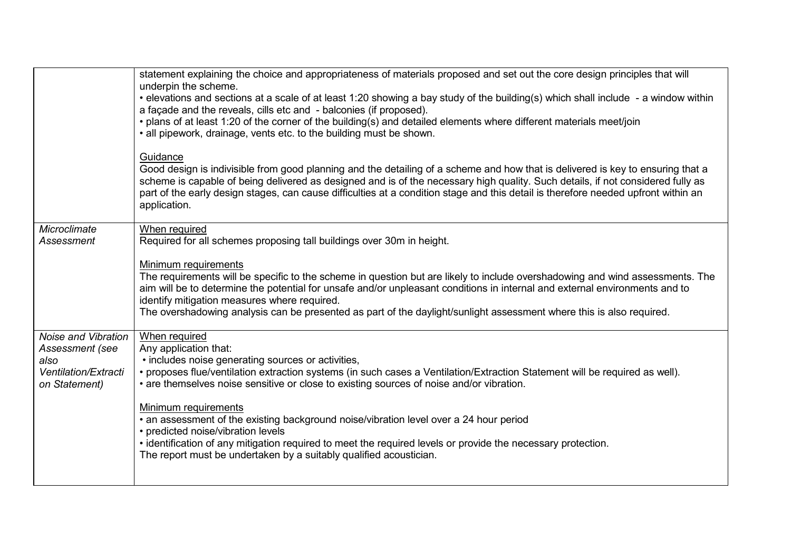|                                                                                         | statement explaining the choice and appropriateness of materials proposed and set out the core design principles that will<br>underpin the scheme.<br>• elevations and sections at a scale of at least 1:20 showing a bay study of the building(s) which shall include - a window within<br>a façade and the reveals, cills etc and - balconies (if proposed).<br>• plans of at least 1:20 of the corner of the building(s) and detailed elements where different materials meet/join<br>• all pipework, drainage, vents etc. to the building must be shown.<br>Guidance<br>Good design is indivisible from good planning and the detailing of a scheme and how that is delivered is key to ensuring that a<br>scheme is capable of being delivered as designed and is of the necessary high quality. Such details, if not considered fully as<br>part of the early design stages, can cause difficulties at a condition stage and this detail is therefore needed upfront within an<br>application. |
|-----------------------------------------------------------------------------------------|------------------------------------------------------------------------------------------------------------------------------------------------------------------------------------------------------------------------------------------------------------------------------------------------------------------------------------------------------------------------------------------------------------------------------------------------------------------------------------------------------------------------------------------------------------------------------------------------------------------------------------------------------------------------------------------------------------------------------------------------------------------------------------------------------------------------------------------------------------------------------------------------------------------------------------------------------------------------------------------------------|
| Microclimate<br>Assessment                                                              | When required<br>Required for all schemes proposing tall buildings over 30m in height.<br>Minimum requirements<br>The requirements will be specific to the scheme in question but are likely to include overshadowing and wind assessments. The<br>aim will be to determine the potential for unsafe and/or unpleasant conditions in internal and external environments and to<br>identify mitigation measures where required.<br>The overshadowing analysis can be presented as part of the daylight/sunlight assessment where this is also required.                                                                                                                                                                                                                                                                                                                                                                                                                                               |
| Noise and Vibration<br>Assessment (see<br>also<br>Ventilation/Extracti<br>on Statement) | When required<br>Any application that:<br>• includes noise generating sources or activities,<br>• proposes flue/ventilation extraction systems (in such cases a Ventilation/Extraction Statement will be required as well).<br>• are themselves noise sensitive or close to existing sources of noise and/or vibration.<br>Minimum requirements<br>• an assessment of the existing background noise/vibration level over a 24 hour period<br>• predicted noise/vibration levels<br>. identification of any mitigation required to meet the required levels or provide the necessary protection.<br>The report must be undertaken by a suitably qualified acoustician.                                                                                                                                                                                                                                                                                                                                |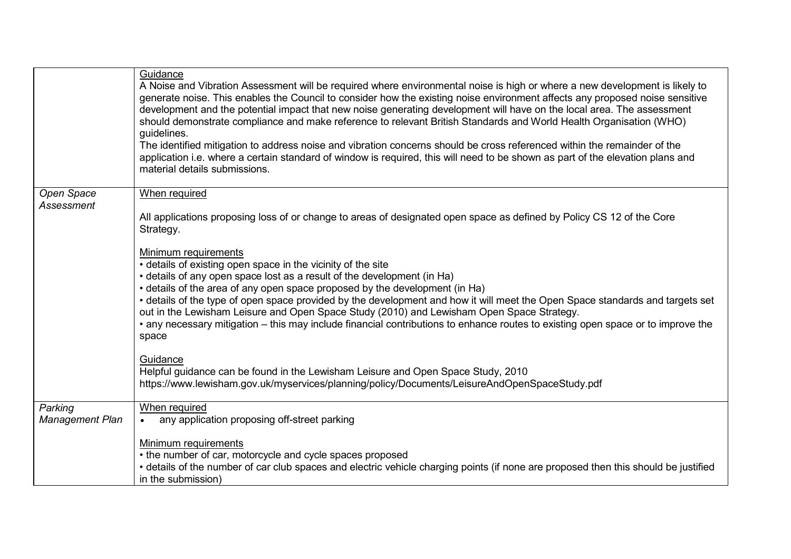|                                   | Guidance<br>A Noise and Vibration Assessment will be required where environmental noise is high or where a new development is likely to<br>generate noise. This enables the Council to consider how the existing noise environment affects any proposed noise sensitive<br>development and the potential impact that new noise generating development will have on the local area. The assessment<br>should demonstrate compliance and make reference to relevant British Standards and World Health Organisation (WHO)<br>guidelines.<br>The identified mitigation to address noise and vibration concerns should be cross referenced within the remainder of the<br>application i.e. where a certain standard of window is required, this will need to be shown as part of the elevation plans and<br>material details submissions. |
|-----------------------------------|---------------------------------------------------------------------------------------------------------------------------------------------------------------------------------------------------------------------------------------------------------------------------------------------------------------------------------------------------------------------------------------------------------------------------------------------------------------------------------------------------------------------------------------------------------------------------------------------------------------------------------------------------------------------------------------------------------------------------------------------------------------------------------------------------------------------------------------|
| <b>Open Space</b><br>Assessment   | When required<br>All applications proposing loss of or change to areas of designated open space as defined by Policy CS 12 of the Core<br>Strategy.                                                                                                                                                                                                                                                                                                                                                                                                                                                                                                                                                                                                                                                                                   |
|                                   | <b>Minimum requirements</b><br>• details of existing open space in the vicinity of the site<br>• details of any open space lost as a result of the development (in Ha)<br>• details of the area of any open space proposed by the development (in Ha)<br>• details of the type of open space provided by the development and how it will meet the Open Space standards and targets set<br>out in the Lewisham Leisure and Open Space Study (2010) and Lewisham Open Space Strategy.<br>• any necessary mitigation – this may include financial contributions to enhance routes to existing open space or to improve the<br>space                                                                                                                                                                                                      |
|                                   | Guidance<br>Helpful guidance can be found in the Lewisham Leisure and Open Space Study, 2010<br>https://www.lewisham.gov.uk/myservices/planning/policy/Documents/LeisureAndOpenSpaceStudy.pdf                                                                                                                                                                                                                                                                                                                                                                                                                                                                                                                                                                                                                                         |
| Parking<br><b>Management Plan</b> | When required<br>any application proposing off-street parking                                                                                                                                                                                                                                                                                                                                                                                                                                                                                                                                                                                                                                                                                                                                                                         |
|                                   | Minimum requirements<br>• the number of car, motorcycle and cycle spaces proposed<br>• details of the number of car club spaces and electric vehicle charging points (if none are proposed then this should be justified<br>in the submission)                                                                                                                                                                                                                                                                                                                                                                                                                                                                                                                                                                                        |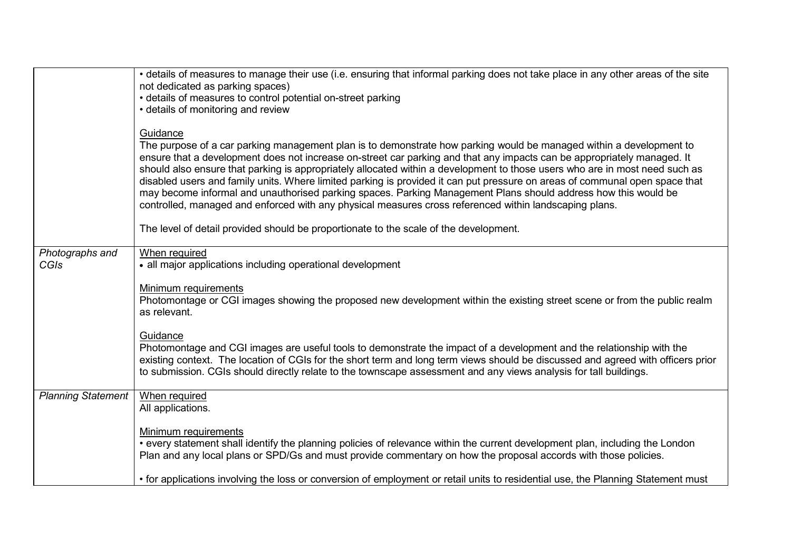|                                | • details of measures to manage their use (i.e. ensuring that informal parking does not take place in any other areas of the site<br>not dedicated as parking spaces)<br>• details of measures to control potential on-street parking<br>• details of monitoring and review<br>Guidance                                                                                                                                                                                                                                                                                                                                                                                                                                                  |
|--------------------------------|------------------------------------------------------------------------------------------------------------------------------------------------------------------------------------------------------------------------------------------------------------------------------------------------------------------------------------------------------------------------------------------------------------------------------------------------------------------------------------------------------------------------------------------------------------------------------------------------------------------------------------------------------------------------------------------------------------------------------------------|
|                                | The purpose of a car parking management plan is to demonstrate how parking would be managed within a development to<br>ensure that a development does not increase on-street car parking and that any impacts can be appropriately managed. It<br>should also ensure that parking is appropriately allocated within a development to those users who are in most need such as<br>disabled users and family units. Where limited parking is provided it can put pressure on areas of communal open space that<br>may become informal and unauthorised parking spaces. Parking Management Plans should address how this would be<br>controlled, managed and enforced with any physical measures cross referenced within landscaping plans. |
|                                | The level of detail provided should be proportionate to the scale of the development.                                                                                                                                                                                                                                                                                                                                                                                                                                                                                                                                                                                                                                                    |
| Photographs and<br><b>CGIs</b> | When required<br>• all major applications including operational development                                                                                                                                                                                                                                                                                                                                                                                                                                                                                                                                                                                                                                                              |
|                                | Minimum requirements<br>Photomontage or CGI images showing the proposed new development within the existing street scene or from the public realm<br>as relevant.                                                                                                                                                                                                                                                                                                                                                                                                                                                                                                                                                                        |
|                                | Guidance<br>Photomontage and CGI images are useful tools to demonstrate the impact of a development and the relationship with the<br>existing context. The location of CGIs for the short term and long term views should be discussed and agreed with officers prior<br>to submission. CGIs should directly relate to the townscape assessment and any views analysis for tall buildings.                                                                                                                                                                                                                                                                                                                                               |
| <b>Planning Statement</b>      | When required<br>All applications.                                                                                                                                                                                                                                                                                                                                                                                                                                                                                                                                                                                                                                                                                                       |
|                                | Minimum requirements<br>• every statement shall identify the planning policies of relevance within the current development plan, including the London<br>Plan and any local plans or SPD/Gs and must provide commentary on how the proposal accords with those policies.                                                                                                                                                                                                                                                                                                                                                                                                                                                                 |
|                                | • for applications involving the loss or conversion of employment or retail units to residential use, the Planning Statement must                                                                                                                                                                                                                                                                                                                                                                                                                                                                                                                                                                                                        |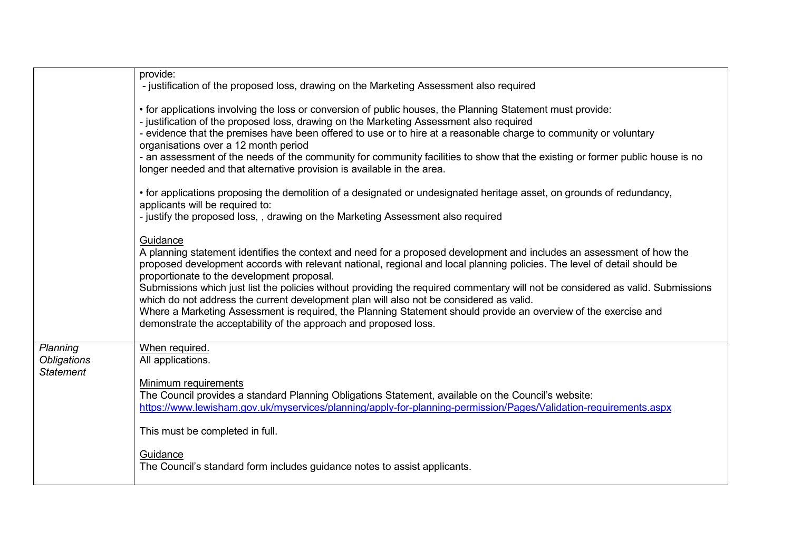|                                                    | provide:<br>- justification of the proposed loss, drawing on the Marketing Assessment also required                                                                                                                                                                                                                                                                                                                                                                                                                                                                                                                                                                                                                              |
|----------------------------------------------------|----------------------------------------------------------------------------------------------------------------------------------------------------------------------------------------------------------------------------------------------------------------------------------------------------------------------------------------------------------------------------------------------------------------------------------------------------------------------------------------------------------------------------------------------------------------------------------------------------------------------------------------------------------------------------------------------------------------------------------|
|                                                    | • for applications involving the loss or conversion of public houses, the Planning Statement must provide:<br>- justification of the proposed loss, drawing on the Marketing Assessment also required<br>- evidence that the premises have been offered to use or to hire at a reasonable charge to community or voluntary<br>organisations over a 12 month period<br>- an assessment of the needs of the community for community facilities to show that the existing or former public house is no<br>longer needed and that alternative provision is available in the area.                                                                                                                                                    |
|                                                    | • for applications proposing the demolition of a designated or undesignated heritage asset, on grounds of redundancy,<br>applicants will be required to:<br>- justify the proposed loss,, drawing on the Marketing Assessment also required                                                                                                                                                                                                                                                                                                                                                                                                                                                                                      |
|                                                    | Guidance<br>A planning statement identifies the context and need for a proposed development and includes an assessment of how the<br>proposed development accords with relevant national, regional and local planning policies. The level of detail should be<br>proportionate to the development proposal.<br>Submissions which just list the policies without providing the required commentary will not be considered as valid. Submissions<br>which do not address the current development plan will also not be considered as valid.<br>Where a Marketing Assessment is required, the Planning Statement should provide an overview of the exercise and<br>demonstrate the acceptability of the approach and proposed loss. |
| Planning<br><b>Obligations</b><br><b>Statement</b> | When required.<br>All applications.<br>Minimum requirements<br>The Council provides a standard Planning Obligations Statement, available on the Council's website:                                                                                                                                                                                                                                                                                                                                                                                                                                                                                                                                                               |
|                                                    | https://www.lewisham.gov.uk/myservices/planning/apply-for-planning-permission/Pages/Validation-requirements.aspx<br>This must be completed in full.<br>Guidance                                                                                                                                                                                                                                                                                                                                                                                                                                                                                                                                                                  |
|                                                    | The Council's standard form includes guidance notes to assist applicants.                                                                                                                                                                                                                                                                                                                                                                                                                                                                                                                                                                                                                                                        |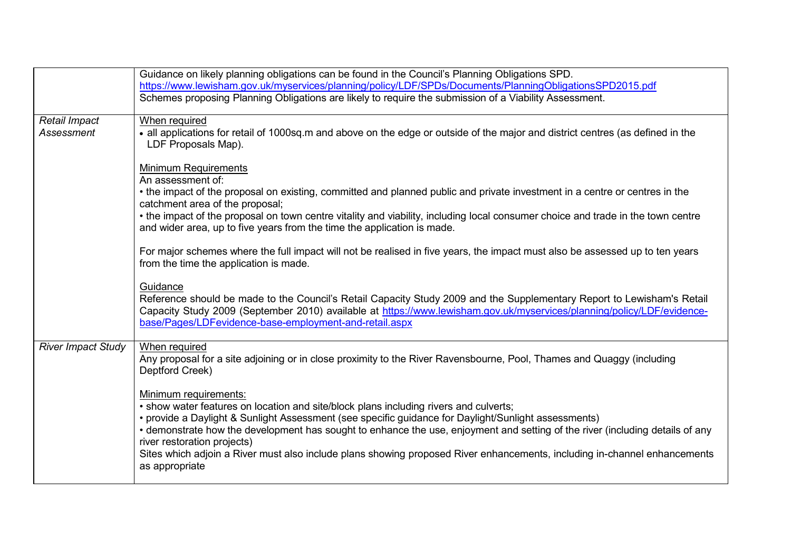|                           | Guidance on likely planning obligations can be found in the Council's Planning Obligations SPD.                                  |
|---------------------------|----------------------------------------------------------------------------------------------------------------------------------|
|                           | https://www.lewisham.gov.uk/myservices/planning/policy/LDF/SPDs/Documents/PlanningObligationsSPD2015.pdf                         |
|                           | Schemes proposing Planning Obligations are likely to require the submission of a Viability Assessment.                           |
|                           |                                                                                                                                  |
| Retail Impact             | When required                                                                                                                    |
| <b>Assessment</b>         | • all applications for retail of 1000sq.m and above on the edge or outside of the major and district centres (as defined in the  |
|                           | LDF Proposals Map).                                                                                                              |
|                           |                                                                                                                                  |
|                           | <b>Minimum Requirements</b>                                                                                                      |
|                           | An assessment of:                                                                                                                |
|                           | • the impact of the proposal on existing, committed and planned public and private investment in a centre or centres in the      |
|                           | catchment area of the proposal;                                                                                                  |
|                           | • the impact of the proposal on town centre vitality and viability, including local consumer choice and trade in the town centre |
|                           | and wider area, up to five years from the time the application is made.                                                          |
|                           | For major schemes where the full impact will not be realised in five years, the impact must also be assessed up to ten years     |
|                           | from the time the application is made.                                                                                           |
|                           |                                                                                                                                  |
|                           | Guidance                                                                                                                         |
|                           | Reference should be made to the Council's Retail Capacity Study 2009 and the Supplementary Report to Lewisham's Retail           |
|                           | Capacity Study 2009 (September 2010) available at https://www.lewisham.gov.uk/myservices/planning/policy/LDF/evidence-           |
|                           | base/Pages/LDFevidence-base-employment-and-retail.aspx                                                                           |
|                           |                                                                                                                                  |
| <b>River Impact Study</b> | When required                                                                                                                    |
|                           | Any proposal for a site adjoining or in close proximity to the River Ravensbourne, Pool, Thames and Quaggy (including            |
|                           | Deptford Creek)                                                                                                                  |
|                           |                                                                                                                                  |
|                           | Minimum requirements:                                                                                                            |
|                           | • show water features on location and site/block plans including rivers and culverts;                                            |
|                           | • provide a Daylight & Sunlight Assessment (see specific guidance for Daylight/Sunlight assessments)                             |
|                           | • demonstrate how the development has sought to enhance the use, enjoyment and setting of the river (including details of any    |
|                           | river restoration projects)                                                                                                      |
|                           | Sites which adjoin a River must also include plans showing proposed River enhancements, including in-channel enhancements        |
|                           | as appropriate                                                                                                                   |
|                           |                                                                                                                                  |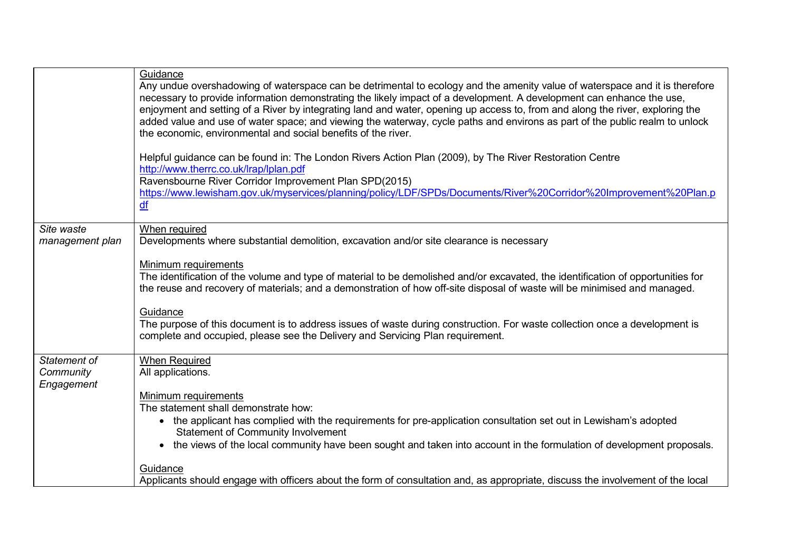|                         | Guidance<br>Any undue overshadowing of waterspace can be detrimental to ecology and the amenity value of waterspace and it is therefore<br>necessary to provide information demonstrating the likely impact of a development. A development can enhance the use,<br>enjoyment and setting of a River by integrating land and water, opening up access to, from and along the river, exploring the<br>added value and use of water space; and viewing the waterway, cycle paths and environs as part of the public realm to unlock<br>the economic, environmental and social benefits of the river.<br>Helpful guidance can be found in: The London Rivers Action Plan (2009), by The River Restoration Centre<br>http://www.therrc.co.uk/lrap/lplan.pdf<br>Ravensbourne River Corridor Improvement Plan SPD(2015)<br>https://www.lewisham.gov.uk/myservices/planning/policy/LDF/SPDs/Documents/River%20Corridor%20Improvement%20Plan.p<br>df |
|-------------------------|----------------------------------------------------------------------------------------------------------------------------------------------------------------------------------------------------------------------------------------------------------------------------------------------------------------------------------------------------------------------------------------------------------------------------------------------------------------------------------------------------------------------------------------------------------------------------------------------------------------------------------------------------------------------------------------------------------------------------------------------------------------------------------------------------------------------------------------------------------------------------------------------------------------------------------------------|
| Site waste              | When required<br>Developments where substantial demolition, excavation and/or site clearance is necessary                                                                                                                                                                                                                                                                                                                                                                                                                                                                                                                                                                                                                                                                                                                                                                                                                                    |
| management plan         |                                                                                                                                                                                                                                                                                                                                                                                                                                                                                                                                                                                                                                                                                                                                                                                                                                                                                                                                              |
|                         | Minimum requirements<br>The identification of the volume and type of material to be demolished and/or excavated, the identification of opportunities for<br>the reuse and recovery of materials; and a demonstration of how off-site disposal of waste will be minimised and managed.                                                                                                                                                                                                                                                                                                                                                                                                                                                                                                                                                                                                                                                        |
|                         | Guidance<br>The purpose of this document is to address issues of waste during construction. For waste collection once a development is<br>complete and occupied, please see the Delivery and Servicing Plan requirement.                                                                                                                                                                                                                                                                                                                                                                                                                                                                                                                                                                                                                                                                                                                     |
| Statement of            | <b>When Required</b>                                                                                                                                                                                                                                                                                                                                                                                                                                                                                                                                                                                                                                                                                                                                                                                                                                                                                                                         |
| Community<br>Engagement | All applications.                                                                                                                                                                                                                                                                                                                                                                                                                                                                                                                                                                                                                                                                                                                                                                                                                                                                                                                            |
|                         | Minimum requirements<br>The statement shall demonstrate how:                                                                                                                                                                                                                                                                                                                                                                                                                                                                                                                                                                                                                                                                                                                                                                                                                                                                                 |
|                         | • the applicant has complied with the requirements for pre-application consultation set out in Lewisham's adopted                                                                                                                                                                                                                                                                                                                                                                                                                                                                                                                                                                                                                                                                                                                                                                                                                            |
|                         | <b>Statement of Community Involvement</b>                                                                                                                                                                                                                                                                                                                                                                                                                                                                                                                                                                                                                                                                                                                                                                                                                                                                                                    |
|                         | the views of the local community have been sought and taken into account in the formulation of development proposals.                                                                                                                                                                                                                                                                                                                                                                                                                                                                                                                                                                                                                                                                                                                                                                                                                        |
|                         | Guidance                                                                                                                                                                                                                                                                                                                                                                                                                                                                                                                                                                                                                                                                                                                                                                                                                                                                                                                                     |
|                         | Applicants should engage with officers about the form of consultation and, as appropriate, discuss the involvement of the local                                                                                                                                                                                                                                                                                                                                                                                                                                                                                                                                                                                                                                                                                                                                                                                                              |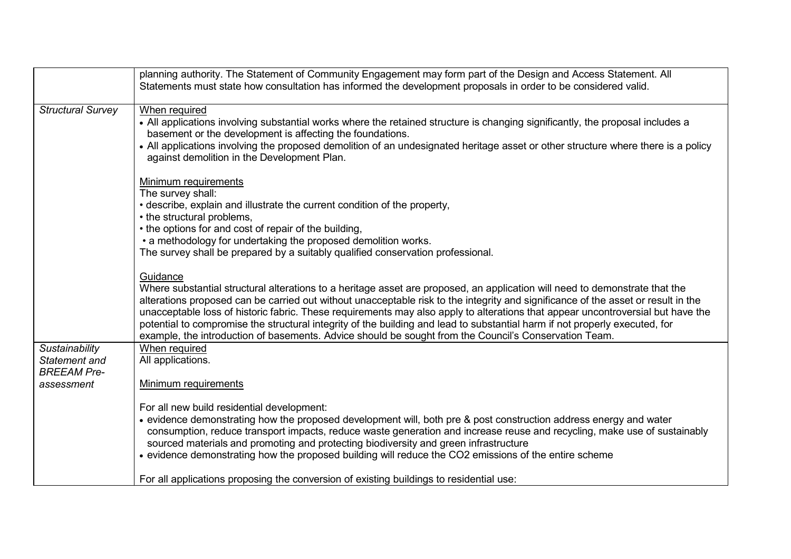|                                                                     | planning authority. The Statement of Community Engagement may form part of the Design and Access Statement. All<br>Statements must state how consultation has informed the development proposals in order to be considered valid.                                                                                                                                                                                                                                                                                                                                                                                                                       |
|---------------------------------------------------------------------|---------------------------------------------------------------------------------------------------------------------------------------------------------------------------------------------------------------------------------------------------------------------------------------------------------------------------------------------------------------------------------------------------------------------------------------------------------------------------------------------------------------------------------------------------------------------------------------------------------------------------------------------------------|
| <b>Structural Survey</b>                                            | When required<br>• All applications involving substantial works where the retained structure is changing significantly, the proposal includes a<br>basement or the development is affecting the foundations.<br>• All applications involving the proposed demolition of an undesignated heritage asset or other structure where there is a policy<br>against demolition in the Development Plan.                                                                                                                                                                                                                                                        |
|                                                                     | Minimum requirements<br>The survey shall:<br>• describe, explain and illustrate the current condition of the property,<br>• the structural problems,<br>• the options for and cost of repair of the building,<br>• a methodology for undertaking the proposed demolition works.<br>The survey shall be prepared by a suitably qualified conservation professional.                                                                                                                                                                                                                                                                                      |
|                                                                     | Guidance<br>Where substantial structural alterations to a heritage asset are proposed, an application will need to demonstrate that the<br>alterations proposed can be carried out without unacceptable risk to the integrity and significance of the asset or result in the<br>unacceptable loss of historic fabric. These requirements may also apply to alterations that appear uncontroversial but have the<br>potential to compromise the structural integrity of the building and lead to substantial harm if not properly executed, for<br>example, the introduction of basements. Advice should be sought from the Council's Conservation Team. |
| Sustainability<br>Statement and<br><b>BREEAM Pre-</b><br>assessment | When required<br>All applications.<br>Minimum requirements                                                                                                                                                                                                                                                                                                                                                                                                                                                                                                                                                                                              |
|                                                                     | For all new build residential development:<br>• evidence demonstrating how the proposed development will, both pre & post construction address energy and water<br>consumption, reduce transport impacts, reduce waste generation and increase reuse and recycling, make use of sustainably<br>sourced materials and promoting and protecting biodiversity and green infrastructure<br>• evidence demonstrating how the proposed building will reduce the CO2 emissions of the entire scheme                                                                                                                                                            |
|                                                                     | For all applications proposing the conversion of existing buildings to residential use:                                                                                                                                                                                                                                                                                                                                                                                                                                                                                                                                                                 |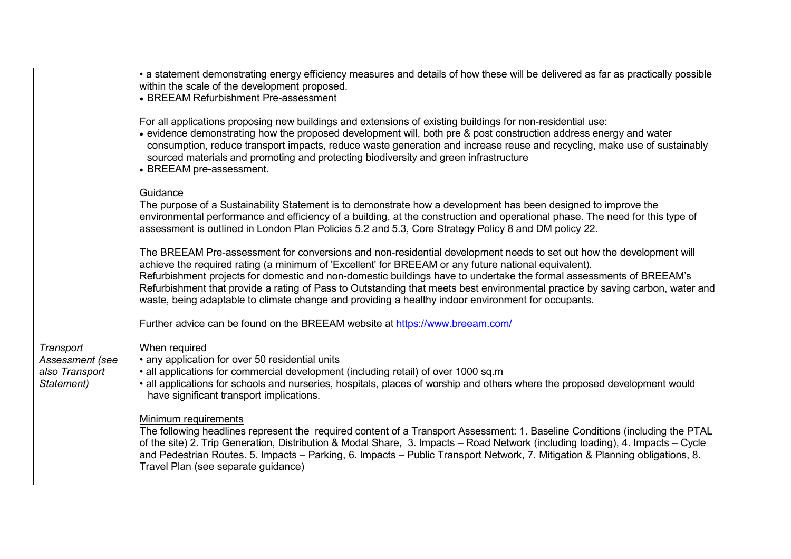|                                                              | • a statement demonstrating energy efficiency measures and details of how these will be delivered as far as practically possible<br>within the scale of the development proposed.<br>• BREEAM Refurbishment Pre-assessment                                                                                                                                                                                                                                                                                                                                                                |
|--------------------------------------------------------------|-------------------------------------------------------------------------------------------------------------------------------------------------------------------------------------------------------------------------------------------------------------------------------------------------------------------------------------------------------------------------------------------------------------------------------------------------------------------------------------------------------------------------------------------------------------------------------------------|
|                                                              | For all applications proposing new buildings and extensions of existing buildings for non-residential use:<br>• evidence demonstrating how the proposed development will, both pre & post construction address energy and water<br>consumption, reduce transport impacts, reduce waste generation and increase reuse and recycling, make use of sustainably<br>sourced materials and promoting and protecting biodiversity and green infrastructure<br>• BREEAM pre-assessment.                                                                                                           |
|                                                              | Guidance<br>The purpose of a Sustainability Statement is to demonstrate how a development has been designed to improve the<br>environmental performance and efficiency of a building, at the construction and operational phase. The need for this type of<br>assessment is outlined in London Plan Policies 5.2 and 5.3, Core Strategy Policy 8 and DM policy 22.                                                                                                                                                                                                                        |
|                                                              | The BREEAM Pre-assessment for conversions and non-residential development needs to set out how the development will<br>achieve the required rating (a minimum of 'Excellent' for BREEAM or any future national equivalent).<br>Refurbishment projects for domestic and non-domestic buildings have to undertake the formal assessments of BREEAM's<br>Refurbishment that provide a rating of Pass to Outstanding that meets best environmental practice by saving carbon, water and<br>waste, being adaptable to climate change and providing a healthy indoor environment for occupants. |
|                                                              | Further advice can be found on the BREEAM website at https://www.breeam.com/                                                                                                                                                                                                                                                                                                                                                                                                                                                                                                              |
| Transport<br>Assessment (see<br>also Transport<br>Statement) | When required<br>• any application for over 50 residential units<br>• all applications for commercial development (including retail) of over 1000 sq.m<br>• all applications for schools and nurseries, hospitals, places of worship and others where the proposed development would<br>have significant transport implications.                                                                                                                                                                                                                                                          |
|                                                              | Minimum requirements<br>The following headlines represent the required content of a Transport Assessment: 1. Baseline Conditions (including the PTAL<br>of the site) 2. Trip Generation, Distribution & Modal Share, 3. Impacts – Road Network (including loading), 4. Impacts – Cycle<br>and Pedestrian Routes. 5. Impacts - Parking, 6. Impacts - Public Transport Network, 7. Mitigation & Planning obligations, 8.<br>Travel Plan (see separate guidance)                                                                                                                             |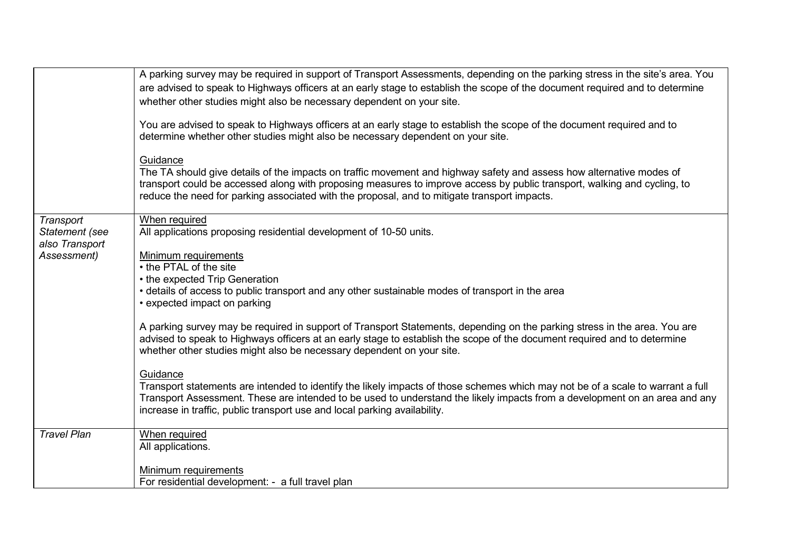|                                                              | A parking survey may be required in support of Transport Assessments, depending on the parking stress in the site's area. You<br>are advised to speak to Highways officers at an early stage to establish the scope of the document required and to determine<br>whether other studies might also be necessary dependent on your site.<br>You are advised to speak to Highways officers at an early stage to establish the scope of the document required and to<br>determine whether other studies might also be necessary dependent on your site.<br>Guidance<br>The TA should give details of the impacts on traffic movement and highway safety and assess how alternative modes of<br>transport could be accessed along with proposing measures to improve access by public transport, walking and cycling, to<br>reduce the need for parking associated with the proposal, and to mitigate transport impacts.                                                                                     |
|--------------------------------------------------------------|---------------------------------------------------------------------------------------------------------------------------------------------------------------------------------------------------------------------------------------------------------------------------------------------------------------------------------------------------------------------------------------------------------------------------------------------------------------------------------------------------------------------------------------------------------------------------------------------------------------------------------------------------------------------------------------------------------------------------------------------------------------------------------------------------------------------------------------------------------------------------------------------------------------------------------------------------------------------------------------------------------|
| Transport<br>Statement (see<br>also Transport<br>Assessment) | When required<br>All applications proposing residential development of 10-50 units.<br>Minimum requirements<br>• the PTAL of the site<br>• the expected Trip Generation<br>• details of access to public transport and any other sustainable modes of transport in the area<br>• expected impact on parking<br>A parking survey may be required in support of Transport Statements, depending on the parking stress in the area. You are<br>advised to speak to Highways officers at an early stage to establish the scope of the document required and to determine<br>whether other studies might also be necessary dependent on your site.<br>Guidance<br>Transport statements are intended to identify the likely impacts of those schemes which may not be of a scale to warrant a full<br>Transport Assessment. These are intended to be used to understand the likely impacts from a development on an area and any<br>increase in traffic, public transport use and local parking availability. |
| <b>Travel Plan</b>                                           | When required<br>All applications.<br>Minimum requirements<br>For residential development: - a full travel plan                                                                                                                                                                                                                                                                                                                                                                                                                                                                                                                                                                                                                                                                                                                                                                                                                                                                                         |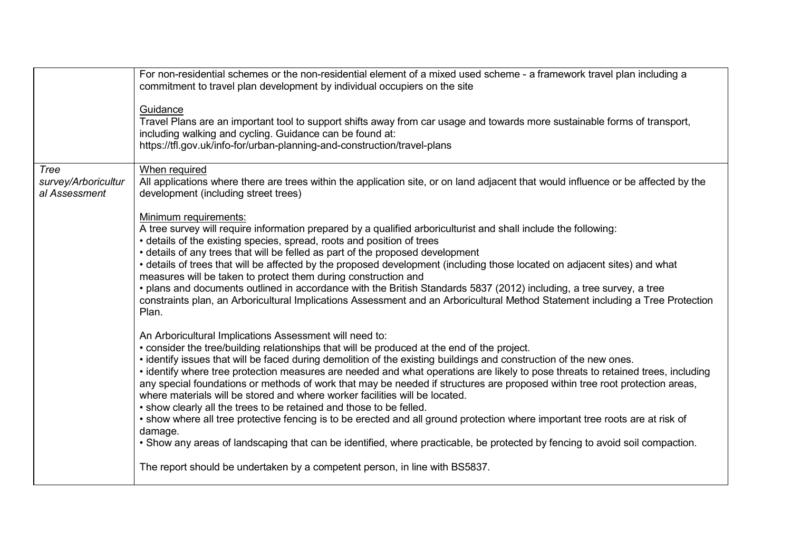|                                              | For non-residential schemes or the non-residential element of a mixed used scheme - a framework travel plan including a<br>commitment to travel plan development by individual occupiers on the site                                                                                                                                                                                                                                                                                                                                                                                                                                                                                                                                                                                                                                                                                                                                                                              |
|----------------------------------------------|-----------------------------------------------------------------------------------------------------------------------------------------------------------------------------------------------------------------------------------------------------------------------------------------------------------------------------------------------------------------------------------------------------------------------------------------------------------------------------------------------------------------------------------------------------------------------------------------------------------------------------------------------------------------------------------------------------------------------------------------------------------------------------------------------------------------------------------------------------------------------------------------------------------------------------------------------------------------------------------|
|                                              | Guidance<br>Travel Plans are an important tool to support shifts away from car usage and towards more sustainable forms of transport,<br>including walking and cycling. Guidance can be found at:<br>https://tfl.gov.uk/info-for/urban-planning-and-construction/travel-plans                                                                                                                                                                                                                                                                                                                                                                                                                                                                                                                                                                                                                                                                                                     |
| Tree<br>survey/Arboricultur<br>al Assessment | When required<br>All applications where there are trees within the application site, or on land adjacent that would influence or be affected by the<br>development (including street trees)                                                                                                                                                                                                                                                                                                                                                                                                                                                                                                                                                                                                                                                                                                                                                                                       |
|                                              | Minimum requirements:<br>A tree survey will require information prepared by a qualified arboriculturist and shall include the following:<br>• details of the existing species, spread, roots and position of trees<br>• details of any trees that will be felled as part of the proposed development<br>• details of trees that will be affected by the proposed development (including those located on adjacent sites) and what<br>measures will be taken to protect them during construction and<br>. plans and documents outlined in accordance with the British Standards 5837 (2012) including, a tree survey, a tree<br>constraints plan, an Arboricultural Implications Assessment and an Arboricultural Method Statement including a Tree Protection<br>Plan.                                                                                                                                                                                                            |
|                                              | An Arboricultural Implications Assessment will need to:<br>• consider the tree/building relationships that will be produced at the end of the project.<br>. identify issues that will be faced during demolition of the existing buildings and construction of the new ones.<br>· identify where tree protection measures are needed and what operations are likely to pose threats to retained trees, including<br>any special foundations or methods of work that may be needed if structures are proposed within tree root protection areas,<br>where materials will be stored and where worker facilities will be located.<br>. show clearly all the trees to be retained and those to be felled.<br>• show where all tree protective fencing is to be erected and all ground protection where important tree roots are at risk of<br>damage.<br>. Show any areas of landscaping that can be identified, where practicable, be protected by fencing to avoid soil compaction. |
|                                              | The report should be undertaken by a competent person, in line with BS5837.                                                                                                                                                                                                                                                                                                                                                                                                                                                                                                                                                                                                                                                                                                                                                                                                                                                                                                       |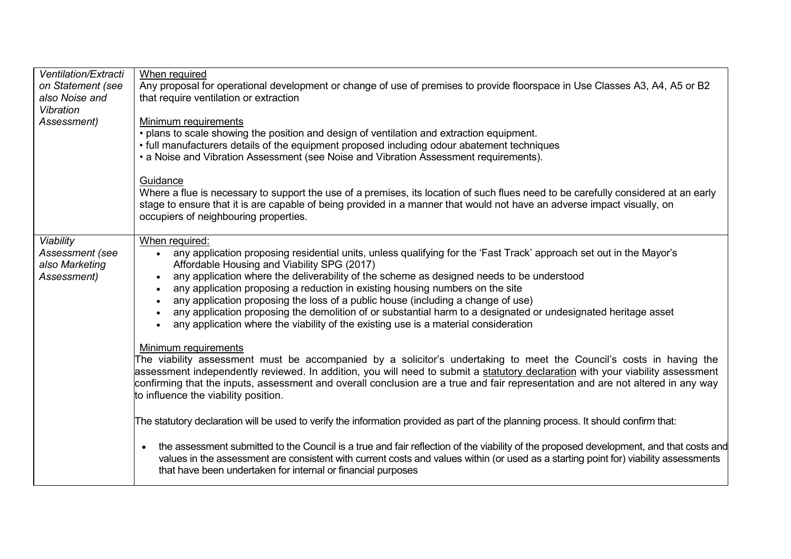| Ventilation/Extracti<br>on Statement (see<br>also Noise and<br>Vibration | When required<br>Any proposal for operational development or change of use of premises to provide floorspace in Use Classes A3, A4, A5 or B2<br>that require ventilation or extraction                                                                                                                                                                                                                                                                                                                                                                                                                                                                                                      |
|--------------------------------------------------------------------------|---------------------------------------------------------------------------------------------------------------------------------------------------------------------------------------------------------------------------------------------------------------------------------------------------------------------------------------------------------------------------------------------------------------------------------------------------------------------------------------------------------------------------------------------------------------------------------------------------------------------------------------------------------------------------------------------|
| Assessment)                                                              | Minimum requirements<br>. plans to scale showing the position and design of ventilation and extraction equipment.<br>• full manufacturers details of the equipment proposed including odour abatement techniques<br>• a Noise and Vibration Assessment (see Noise and Vibration Assessment requirements).                                                                                                                                                                                                                                                                                                                                                                                   |
|                                                                          | Guidance<br>Where a flue is necessary to support the use of a premises, its location of such flues need to be carefully considered at an early<br>stage to ensure that it is are capable of being provided in a manner that would not have an adverse impact visually, on<br>occupiers of neighbouring properties.                                                                                                                                                                                                                                                                                                                                                                          |
| Viability<br>Assessment (see<br>also Marketing<br>Assessment)            | When required:<br>• any application proposing residential units, unless qualifying for the 'Fast Track' approach set out in the Mayor's<br>Affordable Housing and Viability SPG (2017)<br>any application where the deliverability of the scheme as designed needs to be understood<br>$\bullet$<br>any application proposing a reduction in existing housing numbers on the site<br>$\bullet$<br>any application proposing the loss of a public house (including a change of use)<br>any application proposing the demolition of or substantial harm to a designated or undesignated heritage asset<br>any application where the viability of the existing use is a material consideration |
|                                                                          | Minimum requirements<br>The viability assessment must be accompanied by a solicitor's undertaking to meet the Council's costs in having the<br>assessment independently reviewed. In addition, you will need to submit a statutory declaration with your viability assessment<br>confirming that the inputs, assessment and overall conclusion are a true and fair representation and are not altered in any way<br>to influence the viability position.                                                                                                                                                                                                                                    |
|                                                                          | The statutory declaration will be used to verify the information provided as part of the planning process. It should confirm that:                                                                                                                                                                                                                                                                                                                                                                                                                                                                                                                                                          |
|                                                                          | the assessment submitted to the Council is a true and fair reflection of the viability of the proposed development, and that costs and<br>$\bullet$<br>values in the assessment are consistent with current costs and values within (or used as a starting point for) viability assessments<br>that have been undertaken for internal or financial purposes                                                                                                                                                                                                                                                                                                                                 |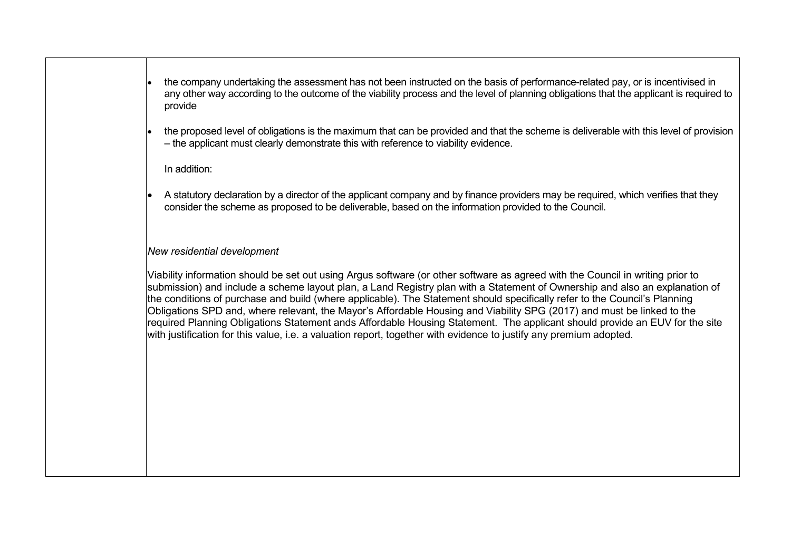- the company undertaking the assessment has not been instructed on the basis of performance-related pay, or is incentivised in any other way according to the outcome of the viability process and the level of planning obligations that the applicant is required to provide
- the proposed level of obligations is the maximum that can be provided and that the scheme is deliverable with this level of provision – the applicant must clearly demonstrate this with reference to viability evidence.

#### In addition:

 A statutory declaration by a director of the applicant company and by finance providers may be required, which verifies that they consider the scheme as proposed to be deliverable, based on the information provided to the Council.

#### *New residential development*

Viability information should be set out using Argus software (or other software as agreed with the Council in writing prior to submission) and include a scheme layout plan, a Land Registry plan with a Statement of Ownership and also an explanation of the conditions of purchase and build (where applicable). The Statement should specifically refer to the Council's Planning Obligations SPD and, where relevant, the Mayor's Affordable Housing and Viability SPG (2017) and must be linked to the required Planning Obligations Statement ands Affordable Housing Statement. The applicant should provide an EUV for the site with justification for this value, i.e. a valuation report, together with evidence to justify any premium adopted.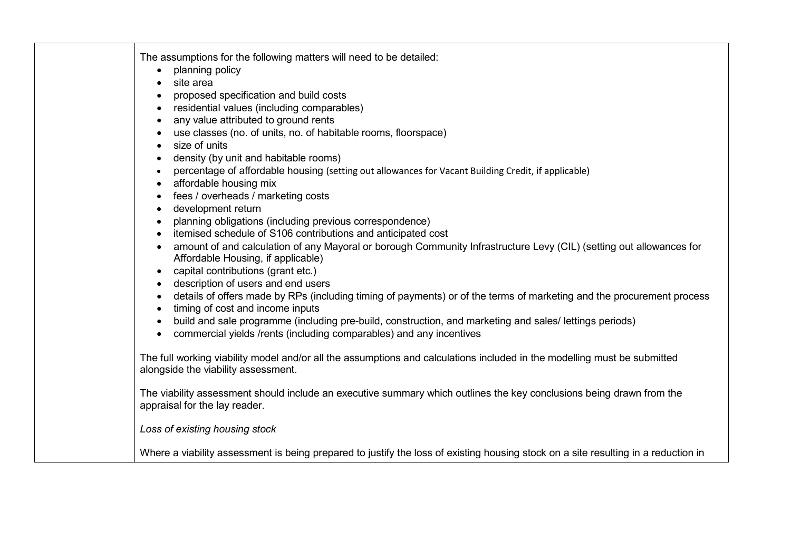| The assumptions for the following matters will need to be detailed:<br>planning policy<br>site area                                                                            |
|--------------------------------------------------------------------------------------------------------------------------------------------------------------------------------|
| proposed specification and build costs                                                                                                                                         |
| • residential values (including comparables)                                                                                                                                   |
| any value attributed to ground rents<br>$\bullet$                                                                                                                              |
| use classes (no. of units, no. of habitable rooms, floorspace)                                                                                                                 |
| size of units<br>$\bullet$                                                                                                                                                     |
| density (by unit and habitable rooms)                                                                                                                                          |
| percentage of affordable housing (setting out allowances for Vacant Building Credit, if applicable)                                                                            |
| affordable housing mix                                                                                                                                                         |
| fees / overheads / marketing costs                                                                                                                                             |
| development return<br>$\bullet$                                                                                                                                                |
| planning obligations (including previous correspondence)                                                                                                                       |
| itemised schedule of S106 contributions and anticipated cost                                                                                                                   |
| amount of and calculation of any Mayoral or borough Community Infrastructure Levy (CIL) (setting out allowances for<br>Affordable Housing, if applicable)                      |
| capital contributions (grant etc.)<br>$\bullet$                                                                                                                                |
| • description of users and end users                                                                                                                                           |
| details of offers made by RPs (including timing of payments) or of the terms of marketing and the procurement process<br>timing of cost and income inputs                      |
| build and sale programme (including pre-build, construction, and marketing and sales/ lettings periods)<br>commercial yields /rents (including comparables) and any incentives |
| The full working viability model and/or all the assumptions and calculations included in the modelling must be submitted<br>alongside the viability assessment.                |
| The viability assessment should include an executive summary which outlines the key conclusions being drawn from the<br>appraisal for the lay reader.                          |
| Loss of existing housing stock                                                                                                                                                 |
| Where a viability assessment is being prepared to justify the loss of existing housing stock on a site resulting in a reduction in                                             |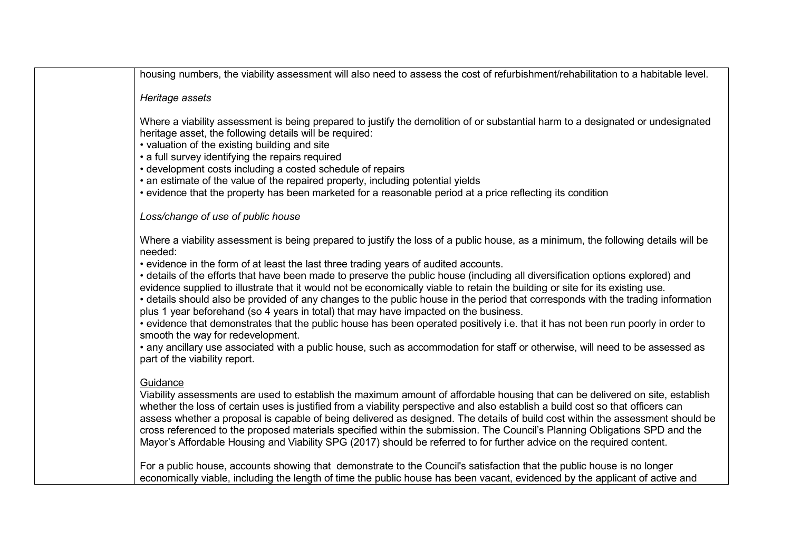housing numbers, the viability assessment will also need to assess the cost of refurbishment/rehabilitation to a habitable level.

#### *Heritage assets*

Where a viability assessment is being prepared to justify the demolition of or substantial harm to a designated or undesignated heritage asset, the following details will be required:

- valuation of the existing building and site
- a full survey identifying the repairs required
- development costs including a costed schedule of repairs
- an estimate of the value of the repaired property, including potential yields
- evidence that the property has been marketed for a reasonable period at a price reflecting its condition

### *Loss/change of use of public house*

Where a viability assessment is being prepared to justify the loss of a public house, as a minimum, the following details will be needed:

• evidence in the form of at least the last three trading years of audited accounts.

• details of the efforts that have been made to preserve the public house (including all diversification options explored) and evidence supplied to illustrate that it would not be economically viable to retain the building or site for its existing use.

• details should also be provided of any changes to the public house in the period that corresponds with the trading information plus 1 year beforehand (so 4 years in total) that may have impacted on the business.

• evidence that demonstrates that the public house has been operated positively i.e. that it has not been run poorly in order to smooth the way for redevelopment.

• any ancillary use associated with a public house, such as accommodation for staff or otherwise, will need to be assessed as part of the viability report.

## **Guidance**

Viability assessments are used to establish the maximum amount of affordable housing that can be delivered on site, establish whether the loss of certain uses is justified from a viability perspective and also establish a build cost so that officers can assess whether a proposal is capable of being delivered as designed. The details of build cost within the assessment should be cross referenced to the proposed materials specified within the submission. The Council's Planning Obligations SPD and the Mayor's Affordable Housing and Viability SPG (2017) should be referred to for further advice on the required content.

For a public house, accounts showing that demonstrate to the Council's satisfaction that the public house is no longer economically viable, including the length of time the public house has been vacant, evidenced by the applicant of active and